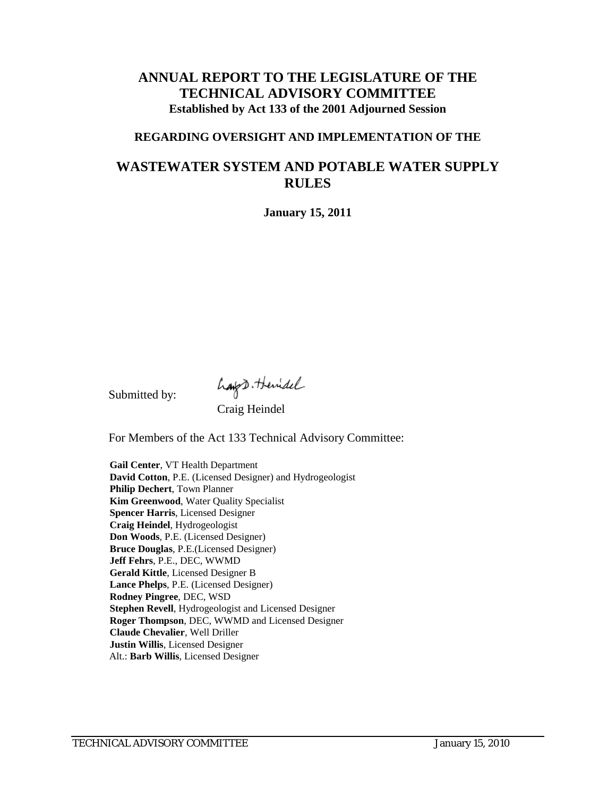## **ANNUAL REPORT TO THE LEGISLATURE OF THE TECHNICAL ADVISORY COMMITTEE Established by Act 133 of the 2001 Adjourned Session**

#### **REGARDING OVERSIGHT AND IMPLEMENTATION OF THE**

# **WASTEWATER SYSTEM AND POTABLE WATER SUPPLY RULES**

**January 15, 2011**

Submitted by:

hays themidel<br>Craig Heindel

For Members of the Act 133 Technical Advisory Committee:

**Gail Center**, VT Health Department **David Cotton**, P.E. (Licensed Designer) and Hydrogeologist **Philip Dechert**, Town Planner **Kim Greenwood**, Water Quality Specialist **Spencer Harris**, Licensed Designer **Craig Heindel**, Hydrogeologist **Don Woods**, P.E. (Licensed Designer) **Bruce Douglas**, P.E.(Licensed Designer) **Jeff Fehrs**, P.E., DEC, WWMD **Gerald Kittle**, Licensed Designer B **Lance Phelps**, P.E. (Licensed Designer) **Rodney Pingree**, DEC, WSD **Stephen Revell**, Hydrogeologist and Licensed Designer **Roger Thompson**, DEC, WWMD and Licensed Designer **Claude Chevalier**, Well Driller **Justin Willis**, Licensed Designer Alt.: **Barb Willis**, Licensed Designer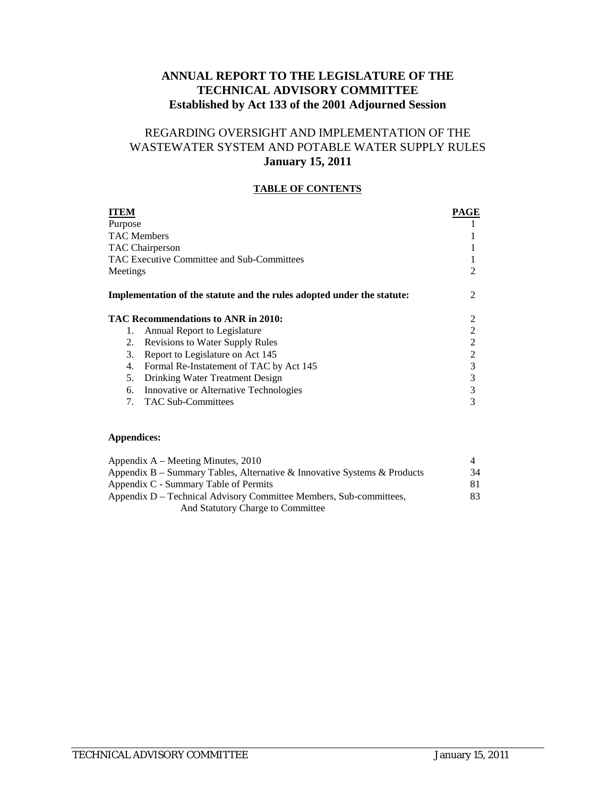## **ANNUAL REPORT TO THE LEGISLATURE OF THE TECHNICAL ADVISORY COMMITTEE Established by Act 133 of the 2001 Adjourned Session**

## REGARDING OVERSIGHT AND IMPLEMENTATION OF THE WASTEWATER SYSTEM AND POTABLE WATER SUPPLY RULES **January 15, 2011**

#### **TABLE OF CONTENTS**

| ITEM                                                                   | PAGE           |
|------------------------------------------------------------------------|----------------|
| Purpose                                                                |                |
| <b>TAC Members</b>                                                     |                |
| TAC Chairperson                                                        |                |
| TAC Executive Committee and Sub-Committees                             |                |
| Meetings                                                               | $\mathfrak{D}$ |
| Implementation of the statute and the rules adopted under the statute: | 2              |
| TAC Recommendations to ANR in 2010:                                    | 2              |
| Annual Report to Legislature<br>1.                                     | 2              |
| <b>Revisions to Water Supply Rules</b><br>2.                           |                |
| 3.<br>Report to Legislature on Act 145                                 | 2              |
| Formal Re-Instatement of TAC by Act 145<br>4.                          | 3              |
| 5.<br>Drinking Water Treatment Design                                  | 3              |
| Innovative or Alternative Technologies<br>6.                           | 3              |
| <b>TAC Sub-Committees</b><br>7.                                        | 3              |

#### **Appendices:**

| Appendix $A -$ Meeting Minutes, 2010                                     |     |
|--------------------------------------------------------------------------|-----|
| Appendix B – Summary Tables, Alternative & Innovative Systems & Products | 34  |
| Appendix C - Summary Table of Permits                                    | 81. |
| Appendix D – Technical Advisory Committee Members, Sub-committees,       | 83. |
| And Statutory Charge to Committee                                        |     |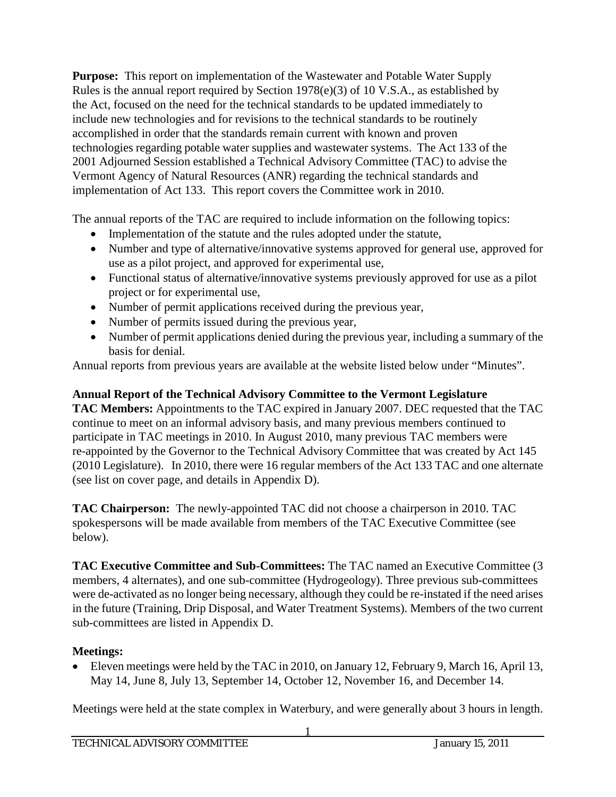**Purpose:** This report on implementation of the Wastewater and Potable Water Supply Rules is the annual report required by Section 1978(e)(3) of 10 V.S.A., as established by the Act, focused on the need for the technical standards to be updated immediately to include new technologies and for revisions to the technical standards to be routinely accomplished in order that the standards remain current with known and proven technologies regarding potable water supplies and wastewater systems. The Act 133 of the 2001 Adjourned Session established a Technical Advisory Committee (TAC) to advise the Vermont Agency of Natural Resources (ANR) regarding the technical standards and implementation of Act 133. This report covers the Committee work in 2010.

The annual reports of the TAC are required to include information on the following topics:

- Implementation of the statute and the rules adopted under the statute,
- Number and type of alternative/innovative systems approved for general use, approved for use as a pilot project, and approved for experimental use,
- Functional status of alternative/innovative systems previously approved for use as a pilot project or for experimental use,
- Number of permit applications received during the previous year,
- Number of permits issued during the previous year,
- Number of permit applications denied during the previous year, including a summary of the basis for denial.

Annual reports from previous years are available at the website listed below under "Minutes".

# **Annual Report of the Technical Advisory Committee to the Vermont Legislature**

**TAC Members:** Appointments to the TAC expired in January 2007. DEC requested that the TAC continue to meet on an informal advisory basis, and many previous members continued to participate in TAC meetings in 2010. In August 2010, many previous TAC members were re-appointed by the Governor to the Technical Advisory Committee that was created by Act 145 (2010 Legislature). In 2010, there were 16 regular members of the Act 133 TAC and one alternate (see list on cover page, and details in Appendix D).

**TAC Chairperson:** The newly-appointed TAC did not choose a chairperson in 2010. TAC spokespersons will be made available from members of the TAC Executive Committee (see below).

**TAC Executive Committee and Sub-Committees:** The TAC named an Executive Committee (3 members, 4 alternates), and one sub-committee (Hydrogeology). Three previous sub-committees were de-activated as no longer being necessary, although they could be re-instated if the need arises in the future (Training, Drip Disposal, and Water Treatment Systems). Members of the two current sub-committees are listed in Appendix D.

# **Meetings:**

• Eleven meetings were held by the TAC in 2010, on January 12, February 9, March 16, April 13, May 14, June 8, July 13, September 14, October 12, November 16, and December 14.

Meetings were held at the state complex in Waterbury, and were generally about 3 hours in length.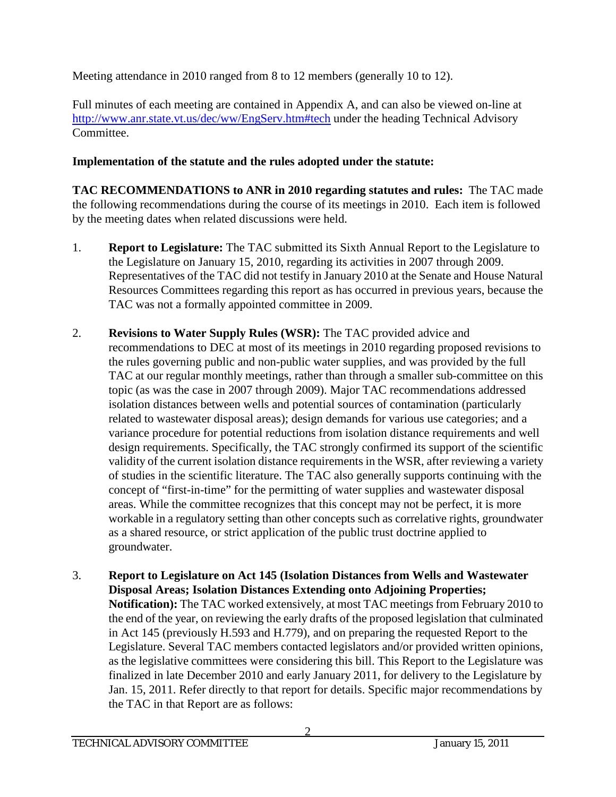Meeting attendance in 2010 ranged from 8 to 12 members (generally 10 to 12).

Full minutes of each meeting are contained in Appendix A, and can also be viewed on-line at <http://www.anr.state.vt.us/dec/ww/EngServ.htm#tech> under the heading Technical Advisory Committee.

## **Implementation of the statute and the rules adopted under the statute:**

**TAC RECOMMENDATIONS to ANR in 2010 regarding statutes and rules:** The TAC made the following recommendations during the course of its meetings in 2010. Each item is followed by the meeting dates when related discussions were held.

- 1. **Report to Legislature:** The TAC submitted its Sixth Annual Report to the Legislature to the Legislature on January 15, 2010, regarding its activities in 2007 through 2009. Representatives of the TAC did not testify in January 2010 at the Senate and House Natural Resources Committees regarding this report as has occurred in previous years, because the TAC was not a formally appointed committee in 2009.
- 2. **Revisions to Water Supply Rules (WSR):** The TAC provided advice and recommendations to DEC at most of its meetings in 2010 regarding proposed revisions to the rules governing public and non-public water supplies, and was provided by the full TAC at our regular monthly meetings, rather than through a smaller sub-committee on this topic (as was the case in 2007 through 2009). Major TAC recommendations addressed isolation distances between wells and potential sources of contamination (particularly related to wastewater disposal areas); design demands for various use categories; and a variance procedure for potential reductions from isolation distance requirements and well design requirements. Specifically, the TAC strongly confirmed its support of the scientific validity of the current isolation distance requirements in the WSR, after reviewing a variety of studies in the scientific literature. The TAC also generally supports continuing with the concept of "first-in-time" for the permitting of water supplies and wastewater disposal areas. While the committee recognizes that this concept may not be perfect, it is more workable in a regulatory setting than other concepts such as correlative rights, groundwater as a shared resource, or strict application of the public trust doctrine applied to groundwater.
- 3. **Report to Legislature on Act 145 (Isolation Distances from Wells and Wastewater Disposal Areas; Isolation Distances Extending onto Adjoining Properties; Notification):** The TAC worked extensively, at most TAC meetings from February 2010 to the end of the year, on reviewing the early drafts of the proposed legislation that culminated in Act 145 (previously H.593 and H.779), and on preparing the requested Report to the Legislature. Several TAC members contacted legislators and/or provided written opinions, as the legislative committees were considering this bill. This Report to the Legislature was finalized in late December 2010 and early January 2011, for delivery to the Legislature by Jan. 15, 2011. Refer directly to that report for details. Specific major recommendations by the TAC in that Report are as follows: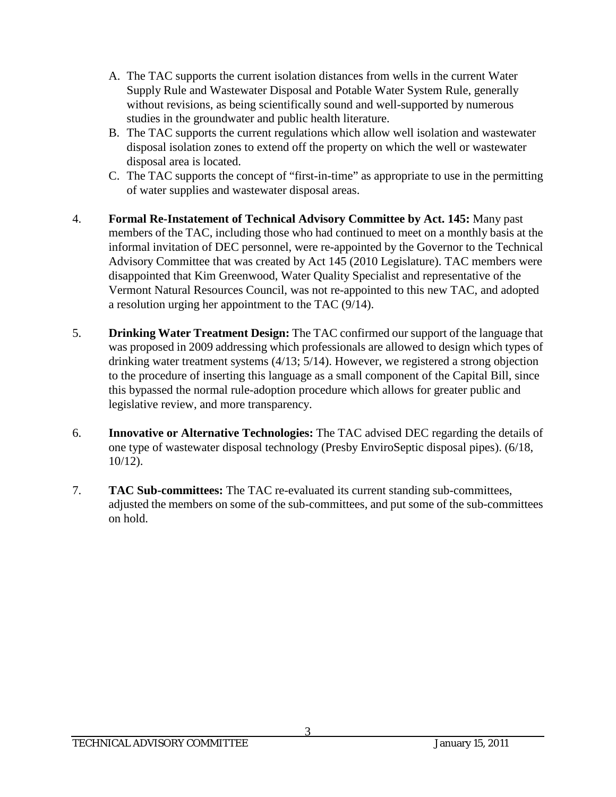- A. The TAC supports the current isolation distances from wells in the current Water Supply Rule and Wastewater Disposal and Potable Water System Rule, generally without revisions, as being scientifically sound and well-supported by numerous studies in the groundwater and public health literature.
- B. The TAC supports the current regulations which allow well isolation and wastewater disposal isolation zones to extend off the property on which the well or wastewater disposal area is located.
- C. The TAC supports the concept of "first-in-time" as appropriate to use in the permitting of water supplies and wastewater disposal areas.
- 4. **Formal Re-Instatement of Technical Advisory Committee by Act. 145:** Many past members of the TAC, including those who had continued to meet on a monthly basis at the informal invitation of DEC personnel, were re-appointed by the Governor to the Technical Advisory Committee that was created by Act 145 (2010 Legislature). TAC members were disappointed that Kim Greenwood, Water Quality Specialist and representative of the Vermont Natural Resources Council, was not re-appointed to this new TAC, and adopted a resolution urging her appointment to the TAC (9/14).
- 5. **Drinking Water Treatment Design:** The TAC confirmed our support of the language that was proposed in 2009 addressing which professionals are allowed to design which types of drinking water treatment systems (4/13; 5/14). However, we registered a strong objection to the procedure of inserting this language as a small component of the Capital Bill, since this bypassed the normal rule-adoption procedure which allows for greater public and legislative review, and more transparency.
- 6. **Innovative or Alternative Technologies:** The TAC advised DEC regarding the details of one type of wastewater disposal technology (Presby EnviroSeptic disposal pipes). (6/18, 10/12).
- 7. **TAC Sub-committees:** The TAC re-evaluated its current standing sub-committees, adjusted the members on some of the sub-committees, and put some of the sub-committees on hold.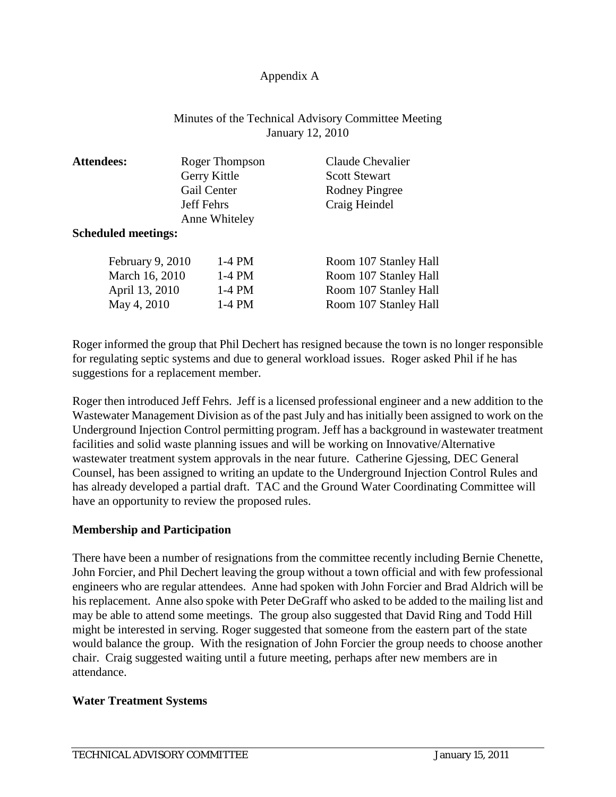#### Appendix A

#### Minutes of the Technical Advisory Committee Meeting January 12, 2010

| <b>Attendees:</b>          | Roger Thompson    | Claude Chevalier      |
|----------------------------|-------------------|-----------------------|
|                            | Gerry Kittle      | <b>Scott Stewart</b>  |
|                            | Gail Center       | <b>Rodney Pingree</b> |
|                            | <b>Jeff Fehrs</b> | Craig Heindel         |
|                            | Anne Whiteley     |                       |
| <b>Scheduled meetings:</b> |                   |                       |
| February 9, 2010           | $1-4$ PM          | Room 107 Stanley Hall |
| March 16, 2010             | $1-4$ PM          | Room 107 Stanley Hall |
| April 13, 2010             | $1-4$ PM          | Room 107 Stanley Hall |
| May 4, 2010                | $1-4$ PM          | Room 107 Stanley Hall |

Roger informed the group that Phil Dechert has resigned because the town is no longer responsible for regulating septic systems and due to general workload issues. Roger asked Phil if he has suggestions for a replacement member.

Roger then introduced Jeff Fehrs. Jeff is a licensed professional engineer and a new addition to the Wastewater Management Division as of the past July and has initially been assigned to work on the Underground Injection Control permitting program. Jeff has a background in wastewater treatment facilities and solid waste planning issues and will be working on Innovative/Alternative wastewater treatment system approvals in the near future. Catherine Gjessing, DEC General Counsel, has been assigned to writing an update to the Underground Injection Control Rules and has already developed a partial draft. TAC and the Ground Water Coordinating Committee will have an opportunity to review the proposed rules.

#### **Membership and Participation**

There have been a number of resignations from the committee recently including Bernie Chenette, John Forcier, and Phil Dechert leaving the group without a town official and with few professional engineers who are regular attendees. Anne had spoken with John Forcier and Brad Aldrich will be his replacement. Anne also spoke with Peter DeGraff who asked to be added to the mailing list and may be able to attend some meetings. The group also suggested that David Ring and Todd Hill might be interested in serving. Roger suggested that someone from the eastern part of the state would balance the group. With the resignation of John Forcier the group needs to choose another chair. Craig suggested waiting until a future meeting, perhaps after new members are in attendance.

#### **Water Treatment Systems**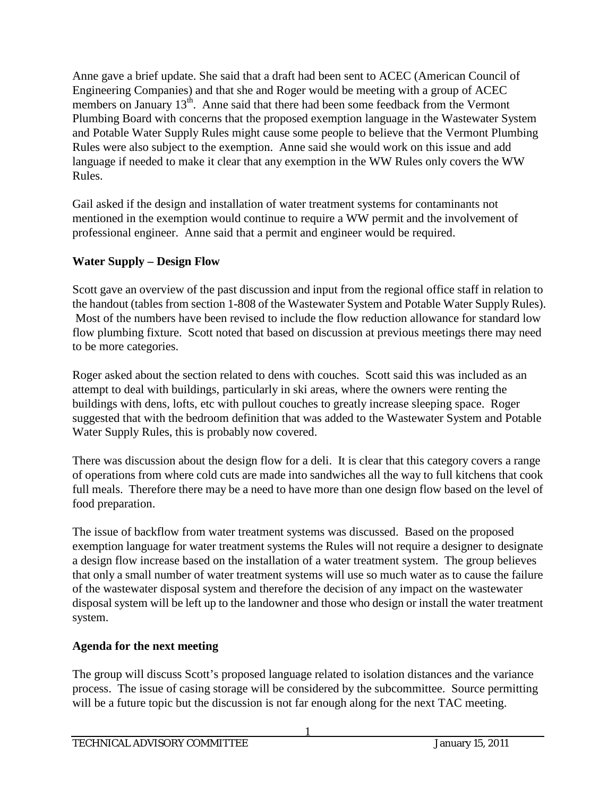Anne gave a brief update. She said that a draft had been sent to ACEC (American Council of Engineering Companies) and that she and Roger would be meeting with a group of ACEC members on January 13<sup>th</sup>. Anne said that there had been some feedback from the Vermont Plumbing Board with concerns that the proposed exemption language in the Wastewater System and Potable Water Supply Rules might cause some people to believe that the Vermont Plumbing Rules were also subject to the exemption. Anne said she would work on this issue and add language if needed to make it clear that any exemption in the WW Rules only covers the WW Rules.

Gail asked if the design and installation of water treatment systems for contaminants not mentioned in the exemption would continue to require a WW permit and the involvement of professional engineer. Anne said that a permit and engineer would be required.

## **Water Supply – Design Flow**

Scott gave an overview of the past discussion and input from the regional office staff in relation to the handout (tables from section 1-808 of the Wastewater System and Potable Water Supply Rules). Most of the numbers have been revised to include the flow reduction allowance for standard low flow plumbing fixture. Scott noted that based on discussion at previous meetings there may need to be more categories.

Roger asked about the section related to dens with couches. Scott said this was included as an attempt to deal with buildings, particularly in ski areas, where the owners were renting the buildings with dens, lofts, etc with pullout couches to greatly increase sleeping space. Roger suggested that with the bedroom definition that was added to the Wastewater System and Potable Water Supply Rules, this is probably now covered.

There was discussion about the design flow for a deli. It is clear that this category covers a range of operations from where cold cuts are made into sandwiches all the way to full kitchens that cook full meals. Therefore there may be a need to have more than one design flow based on the level of food preparation.

The issue of backflow from water treatment systems was discussed. Based on the proposed exemption language for water treatment systems the Rules will not require a designer to designate a design flow increase based on the installation of a water treatment system. The group believes that only a small number of water treatment systems will use so much water as to cause the failure of the wastewater disposal system and therefore the decision of any impact on the wastewater disposal system will be left up to the landowner and those who design or install the water treatment system.

# **Agenda for the next meeting**

The group will discuss Scott's proposed language related to isolation distances and the variance process. The issue of casing storage will be considered by the subcommittee. Source permitting will be a future topic but the discussion is not far enough along for the next TAC meeting.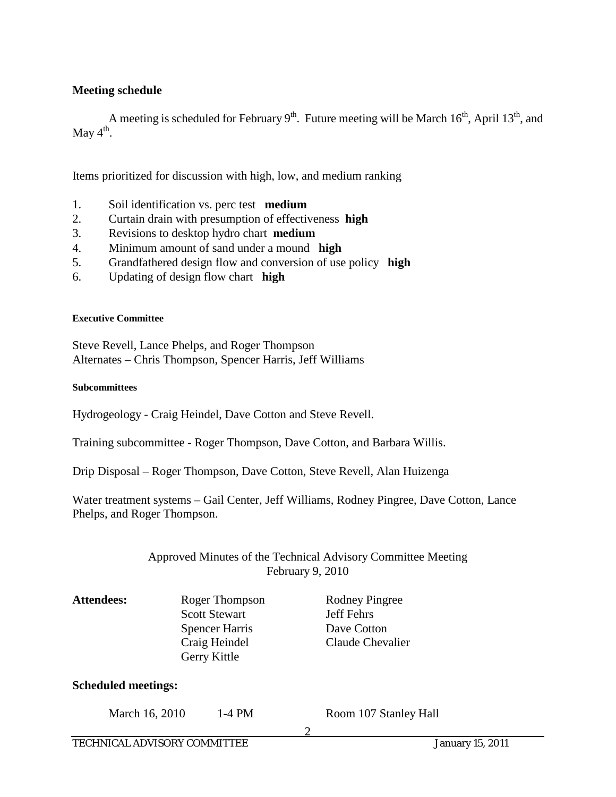#### **Meeting schedule**

A meeting is scheduled for February  $9<sup>th</sup>$ . Future meeting will be March 16<sup>th</sup>, April 13<sup>th</sup>, and May  $4^{\text{th}}$ .

Items prioritized for discussion with high, low, and medium ranking

- 1. Soil identification vs. perc test **medium**
- 2. Curtain drain with presumption of effectiveness **high**
- 3. Revisions to desktop hydro chart **medium**
- 4. Minimum amount of sand under a mound **high**
- 5. Grandfathered design flow and conversion of use policy **high**
- 6. Updating of design flow chart **high**

#### **Executive Committee**

Steve Revell, Lance Phelps, and Roger Thompson Alternates – Chris Thompson, Spencer Harris, Jeff Williams

#### **Subcommittees**

Hydrogeology - Craig Heindel, Dave Cotton and Steve Revell.

Training subcommittee - Roger Thompson, Dave Cotton, and Barbara Willis.

Drip Disposal – Roger Thompson, Dave Cotton, Steve Revell, Alan Huizenga

Water treatment systems – Gail Center, Jeff Williams, Rodney Pingree, Dave Cotton, Lance Phelps, and Roger Thompson.

#### Approved Minutes of the Technical Advisory Committee Meeting February 9, 2010

Attendees: Roger Thompson Rodney Pingree Scott Stewart Jeff Fehrs Spencer Harris Dave Cotton Craig Heindel Claude Chevalier Gerry Kittle **Scheduled meetings:**

#### March 16, 2010 1-4 PM Room 107 Stanley Hall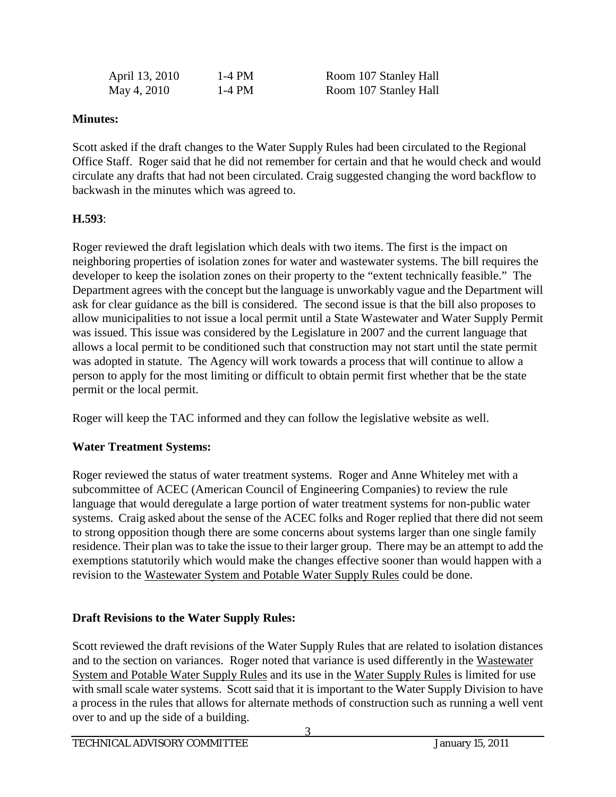| April 13, 2010 | 1-4 PM | Room 107 Stanley Hall |
|----------------|--------|-----------------------|
| May 4, 2010    | 1-4 PM | Room 107 Stanley Hall |

## **Minutes:**

Scott asked if the draft changes to the Water Supply Rules had been circulated to the Regional Office Staff. Roger said that he did not remember for certain and that he would check and would circulate any drafts that had not been circulated. Craig suggested changing the word backflow to backwash in the minutes which was agreed to.

## **H.593**:

Roger reviewed the draft legislation which deals with two items. The first is the impact on neighboring properties of isolation zones for water and wastewater systems. The bill requires the developer to keep the isolation zones on their property to the "extent technically feasible." The Department agrees with the concept but the language is unworkably vague and the Department will ask for clear guidance as the bill is considered. The second issue is that the bill also proposes to allow municipalities to not issue a local permit until a State Wastewater and Water Supply Permit was issued. This issue was considered by the Legislature in 2007 and the current language that allows a local permit to be conditioned such that construction may not start until the state permit was adopted in statute. The Agency will work towards a process that will continue to allow a person to apply for the most limiting or difficult to obtain permit first whether that be the state permit or the local permit.

Roger will keep the TAC informed and they can follow the legislative website as well.

## **Water Treatment Systems:**

Roger reviewed the status of water treatment systems. Roger and Anne Whiteley met with a subcommittee of ACEC (American Council of Engineering Companies) to review the rule language that would deregulate a large portion of water treatment systems for non-public water systems. Craig asked about the sense of the ACEC folks and Roger replied that there did not seem to strong opposition though there are some concerns about systems larger than one single family residence. Their plan was to take the issue to their larger group. There may be an attempt to add the exemptions statutorily which would make the changes effective sooner than would happen with a revision to the Wastewater System and Potable Water Supply Rules could be done.

# **Draft Revisions to the Water Supply Rules:**

Scott reviewed the draft revisions of the Water Supply Rules that are related to isolation distances and to the section on variances. Roger noted that variance is used differently in the Wastewater System and Potable Water Supply Rules and its use in the Water Supply Rules is limited for use with small scale water systems. Scott said that it is important to the Water Supply Division to have a process in the rules that allows for alternate methods of construction such as running a well vent over to and up the side of a building.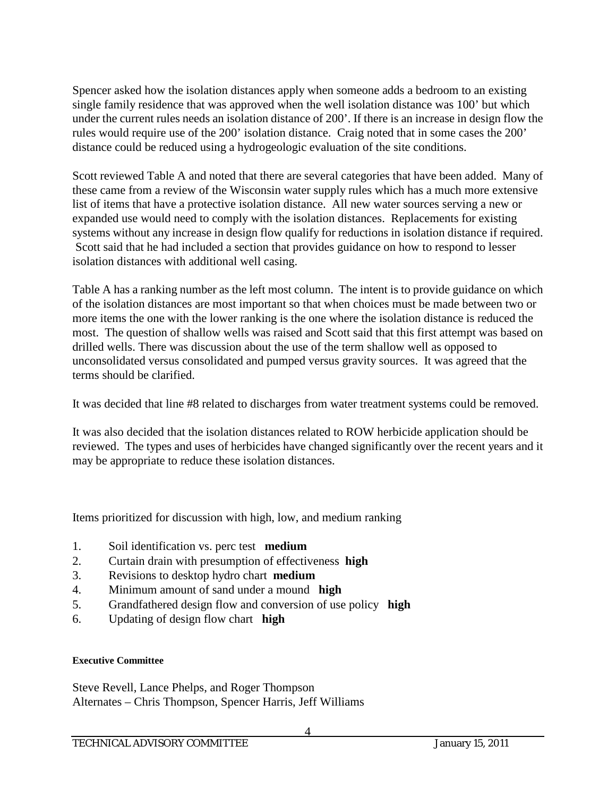Spencer asked how the isolation distances apply when someone adds a bedroom to an existing single family residence that was approved when the well isolation distance was 100' but which under the current rules needs an isolation distance of 200'. If there is an increase in design flow the rules would require use of the 200' isolation distance. Craig noted that in some cases the 200' distance could be reduced using a hydrogeologic evaluation of the site conditions.

Scott reviewed Table A and noted that there are several categories that have been added. Many of these came from a review of the Wisconsin water supply rules which has a much more extensive list of items that have a protective isolation distance. All new water sources serving a new or expanded use would need to comply with the isolation distances. Replacements for existing systems without any increase in design flow qualify for reductions in isolation distance if required. Scott said that he had included a section that provides guidance on how to respond to lesser isolation distances with additional well casing.

Table A has a ranking number as the left most column. The intent is to provide guidance on which of the isolation distances are most important so that when choices must be made between two or more items the one with the lower ranking is the one where the isolation distance is reduced the most. The question of shallow wells was raised and Scott said that this first attempt was based on drilled wells. There was discussion about the use of the term shallow well as opposed to unconsolidated versus consolidated and pumped versus gravity sources. It was agreed that the terms should be clarified.

It was decided that line #8 related to discharges from water treatment systems could be removed.

It was also decided that the isolation distances related to ROW herbicide application should be reviewed. The types and uses of herbicides have changed significantly over the recent years and it may be appropriate to reduce these isolation distances.

Items prioritized for discussion with high, low, and medium ranking

- 1. Soil identification vs. perc test **medium**
- 2. Curtain drain with presumption of effectiveness **high**
- 3. Revisions to desktop hydro chart **medium**
- 4. Minimum amount of sand under a mound **high**
- 5. Grandfathered design flow and conversion of use policy **high**
- 6. Updating of design flow chart **high**

#### **Executive Committee**

Steve Revell, Lance Phelps, and Roger Thompson Alternates – Chris Thompson, Spencer Harris, Jeff Williams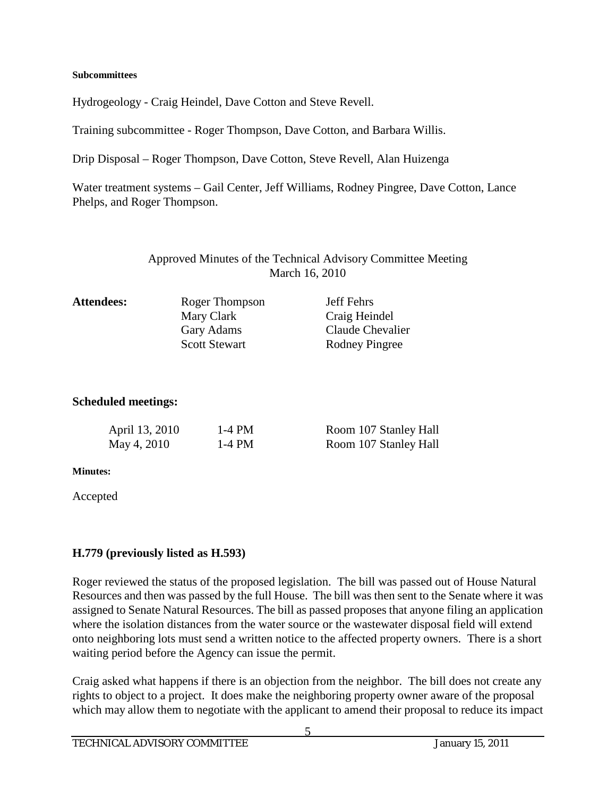#### **Subcommittees**

Hydrogeology - Craig Heindel, Dave Cotton and Steve Revell.

Training subcommittee - Roger Thompson, Dave Cotton, and Barbara Willis.

Drip Disposal – Roger Thompson, Dave Cotton, Steve Revell, Alan Huizenga

Water treatment systems – Gail Center, Jeff Williams, Rodney Pingree, Dave Cotton, Lance Phelps, and Roger Thompson.

## Approved Minutes of the Technical Advisory Committee Meeting March 16, 2010

| <b>Attendees:</b> | Roger Thompson       | <b>Jeff Fehrs</b> |
|-------------------|----------------------|-------------------|
|                   | Mary Clark           | Craig Heindel     |
|                   | Gary Adams           | Claude Chevalier  |
|                   | <b>Scott Stewart</b> | Rodney Pingree    |

#### **Scheduled meetings:**

| April 13, 2010 | 1-4 PM | Room 107 Stanley Hall |
|----------------|--------|-----------------------|
| May 4, 2010    | 1-4 PM | Room 107 Stanley Hall |

#### **Minutes:**

Accepted

#### **H.779 (previously listed as H.593)**

Roger reviewed the status of the proposed legislation. The bill was passed out of House Natural Resources and then was passed by the full House. The bill was then sent to the Senate where it was assigned to Senate Natural Resources. The bill as passed proposes that anyone filing an application where the isolation distances from the water source or the wastewater disposal field will extend onto neighboring lots must send a written notice to the affected property owners. There is a short waiting period before the Agency can issue the permit.

Craig asked what happens if there is an objection from the neighbor. The bill does not create any rights to object to a project. It does make the neighboring property owner aware of the proposal which may allow them to negotiate with the applicant to amend their proposal to reduce its impact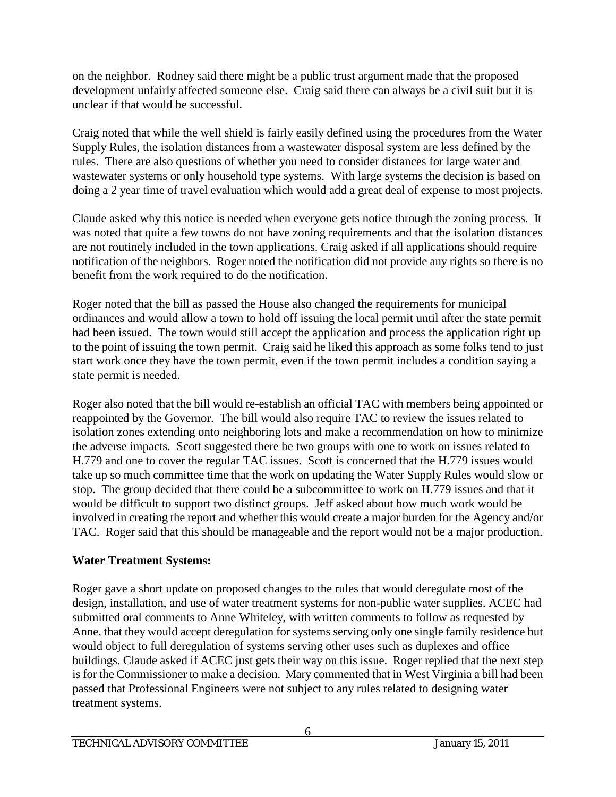on the neighbor. Rodney said there might be a public trust argument made that the proposed development unfairly affected someone else. Craig said there can always be a civil suit but it is unclear if that would be successful.

Craig noted that while the well shield is fairly easily defined using the procedures from the Water Supply Rules, the isolation distances from a wastewater disposal system are less defined by the rules. There are also questions of whether you need to consider distances for large water and wastewater systems or only household type systems. With large systems the decision is based on doing a 2 year time of travel evaluation which would add a great deal of expense to most projects.

Claude asked why this notice is needed when everyone gets notice through the zoning process. It was noted that quite a few towns do not have zoning requirements and that the isolation distances are not routinely included in the town applications. Craig asked if all applications should require notification of the neighbors. Roger noted the notification did not provide any rights so there is no benefit from the work required to do the notification.

Roger noted that the bill as passed the House also changed the requirements for municipal ordinances and would allow a town to hold off issuing the local permit until after the state permit had been issued. The town would still accept the application and process the application right up to the point of issuing the town permit. Craig said he liked this approach as some folks tend to just start work once they have the town permit, even if the town permit includes a condition saying a state permit is needed.

Roger also noted that the bill would re-establish an official TAC with members being appointed or reappointed by the Governor. The bill would also require TAC to review the issues related to isolation zones extending onto neighboring lots and make a recommendation on how to minimize the adverse impacts. Scott suggested there be two groups with one to work on issues related to H.779 and one to cover the regular TAC issues. Scott is concerned that the H.779 issues would take up so much committee time that the work on updating the Water Supply Rules would slow or stop. The group decided that there could be a subcommittee to work on H.779 issues and that it would be difficult to support two distinct groups. Jeff asked about how much work would be involved in creating the report and whether this would create a major burden for the Agency and/or TAC. Roger said that this should be manageable and the report would not be a major production.

## **Water Treatment Systems:**

Roger gave a short update on proposed changes to the rules that would deregulate most of the design, installation, and use of water treatment systems for non-public water supplies. ACEC had submitted oral comments to Anne Whiteley, with written comments to follow as requested by Anne, that they would accept deregulation for systems serving only one single family residence but would object to full deregulation of systems serving other uses such as duplexes and office buildings. Claude asked if ACEC just gets their way on this issue. Roger replied that the next step is for the Commissioner to make a decision. Mary commented that in West Virginia a bill had been passed that Professional Engineers were not subject to any rules related to designing water treatment systems.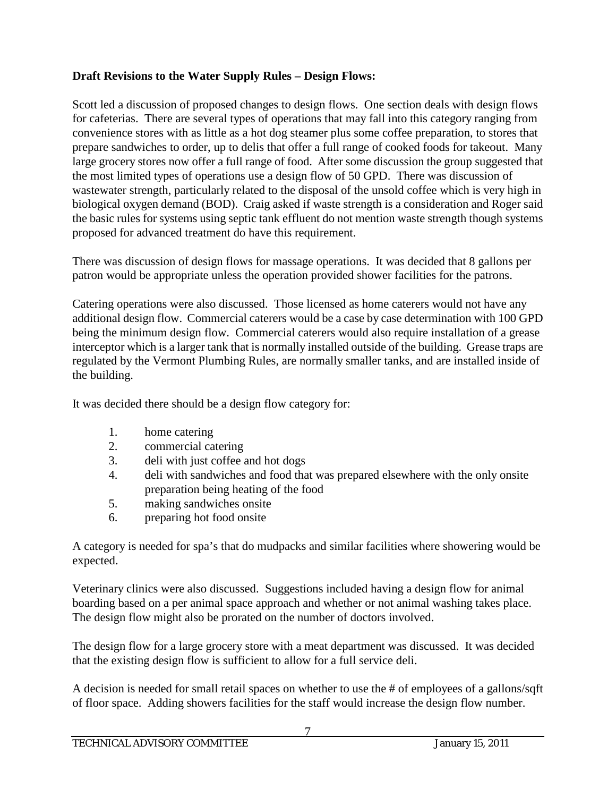## **Draft Revisions to the Water Supply Rules – Design Flows:**

Scott led a discussion of proposed changes to design flows. One section deals with design flows for cafeterias. There are several types of operations that may fall into this category ranging from convenience stores with as little as a hot dog steamer plus some coffee preparation, to stores that prepare sandwiches to order, up to delis that offer a full range of cooked foods for takeout. Many large grocery stores now offer a full range of food. After some discussion the group suggested that the most limited types of operations use a design flow of 50 GPD. There was discussion of wastewater strength, particularly related to the disposal of the unsold coffee which is very high in biological oxygen demand (BOD). Craig asked if waste strength is a consideration and Roger said the basic rules for systems using septic tank effluent do not mention waste strength though systems proposed for advanced treatment do have this requirement.

There was discussion of design flows for massage operations. It was decided that 8 gallons per patron would be appropriate unless the operation provided shower facilities for the patrons.

Catering operations were also discussed. Those licensed as home caterers would not have any additional design flow. Commercial caterers would be a case by case determination with 100 GPD being the minimum design flow. Commercial caterers would also require installation of a grease interceptor which is a larger tank that is normally installed outside of the building. Grease traps are regulated by the Vermont Plumbing Rules, are normally smaller tanks, and are installed inside of the building.

It was decided there should be a design flow category for:

- 1. home catering
- 2. commercial catering
- 3. deli with just coffee and hot dogs
- 4. deli with sandwiches and food that was prepared elsewhere with the only onsite preparation being heating of the food
- 5. making sandwiches onsite
- 6. preparing hot food onsite

A category is needed for spa's that do mudpacks and similar facilities where showering would be expected.

Veterinary clinics were also discussed. Suggestions included having a design flow for animal boarding based on a per animal space approach and whether or not animal washing takes place. The design flow might also be prorated on the number of doctors involved.

The design flow for a large grocery store with a meat department was discussed. It was decided that the existing design flow is sufficient to allow for a full service deli.

A decision is needed for small retail spaces on whether to use the # of employees of a gallons/sqft of floor space. Adding showers facilities for the staff would increase the design flow number.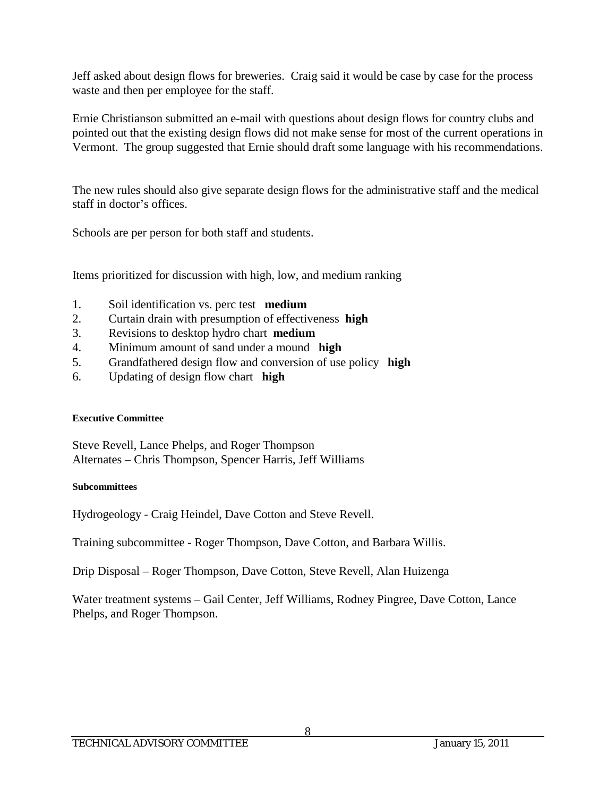Jeff asked about design flows for breweries. Craig said it would be case by case for the process waste and then per employee for the staff.

Ernie Christianson submitted an e-mail with questions about design flows for country clubs and pointed out that the existing design flows did not make sense for most of the current operations in Vermont. The group suggested that Ernie should draft some language with his recommendations.

The new rules should also give separate design flows for the administrative staff and the medical staff in doctor's offices.

Schools are per person for both staff and students.

Items prioritized for discussion with high, low, and medium ranking

- 1. Soil identification vs. perc test **medium**
- 2. Curtain drain with presumption of effectiveness **high**
- 3. Revisions to desktop hydro chart **medium**
- 4. Minimum amount of sand under a mound **high**
- 5. Grandfathered design flow and conversion of use policy **high**
- 6. Updating of design flow chart **high**

#### **Executive Committee**

Steve Revell, Lance Phelps, and Roger Thompson Alternates – Chris Thompson, Spencer Harris, Jeff Williams

#### **Subcommittees**

Hydrogeology - Craig Heindel, Dave Cotton and Steve Revell.

Training subcommittee - Roger Thompson, Dave Cotton, and Barbara Willis.

Drip Disposal – Roger Thompson, Dave Cotton, Steve Revell, Alan Huizenga

Water treatment systems – Gail Center, Jeff Williams, Rodney Pingree, Dave Cotton, Lance Phelps, and Roger Thompson.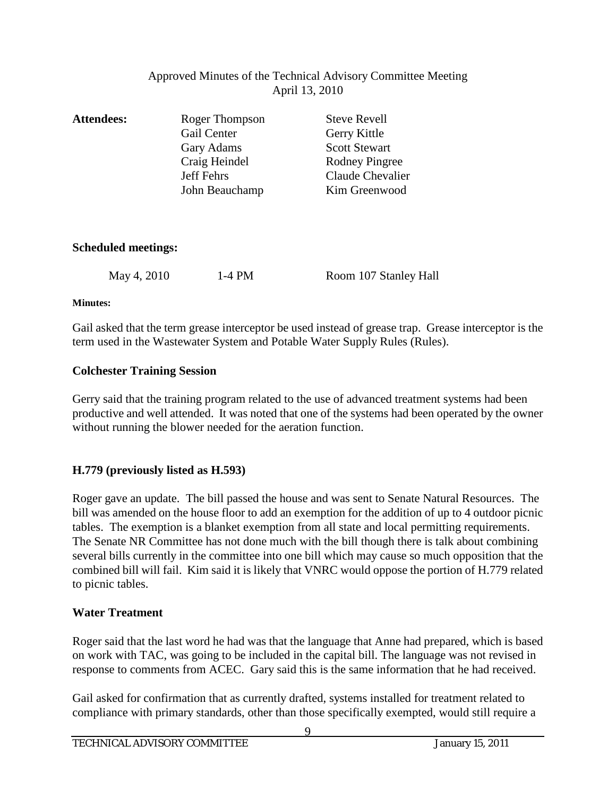## Approved Minutes of the Technical Advisory Committee Meeting April 13, 2010

| <b>Attendees:</b>          | Roger Thompson<br>Gail Center<br>Gary Adams | <b>Steve Revell</b><br>Gerry Kittle<br><b>Scott Stewart</b> |
|----------------------------|---------------------------------------------|-------------------------------------------------------------|
|                            | Craig Heindel                               | <b>Rodney Pingree</b>                                       |
|                            | <b>Jeff Fehrs</b>                           | Claude Chevalier                                            |
|                            | John Beauchamp                              | Kim Greenwood                                               |
| <b>Scheduled meetings:</b> |                                             |                                                             |
| May 4, 2010                | 1-4 PM                                      | Room 107 Stanley Hall                                       |

#### **Minutes:**

Gail asked that the term grease interceptor be used instead of grease trap. Grease interceptor is the term used in the Wastewater System and Potable Water Supply Rules (Rules).

#### **Colchester Training Session**

Gerry said that the training program related to the use of advanced treatment systems had been productive and well attended. It was noted that one of the systems had been operated by the owner without running the blower needed for the aeration function.

#### **H.779 (previously listed as H.593)**

Roger gave an update. The bill passed the house and was sent to Senate Natural Resources. The bill was amended on the house floor to add an exemption for the addition of up to 4 outdoor picnic tables. The exemption is a blanket exemption from all state and local permitting requirements. The Senate NR Committee has not done much with the bill though there is talk about combining several bills currently in the committee into one bill which may cause so much opposition that the combined bill will fail. Kim said it is likely that VNRC would oppose the portion of H.779 related to picnic tables.

#### **Water Treatment**

Roger said that the last word he had was that the language that Anne had prepared, which is based on work with TAC, was going to be included in the capital bill. The language was not revised in response to comments from ACEC. Gary said this is the same information that he had received.

Gail asked for confirmation that as currently drafted, systems installed for treatment related to compliance with primary standards, other than those specifically exempted, would still require a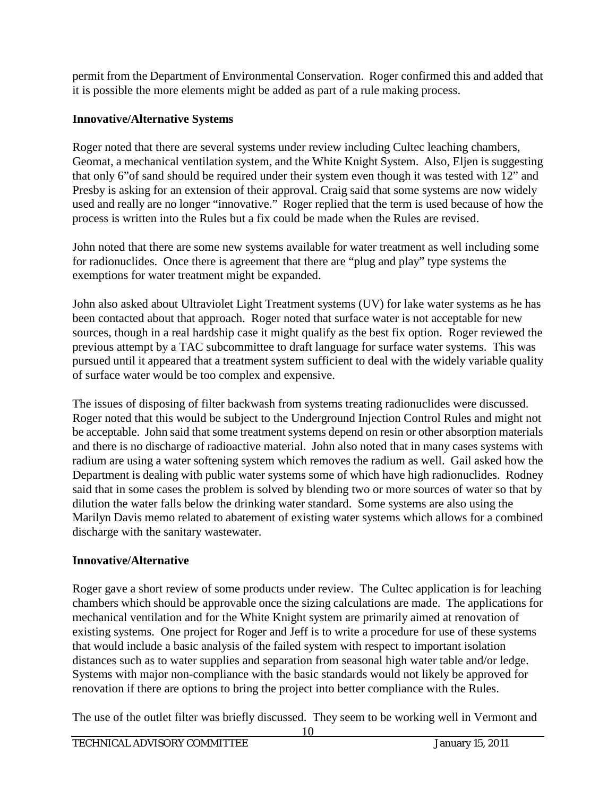permit from the Department of Environmental Conservation. Roger confirmed this and added that it is possible the more elements might be added as part of a rule making process.

## **Innovative/Alternative Systems**

Roger noted that there are several systems under review including Cultec leaching chambers, Geomat, a mechanical ventilation system, and the White Knight System. Also, Eljen is suggesting that only 6"of sand should be required under their system even though it was tested with 12" and Presby is asking for an extension of their approval. Craig said that some systems are now widely used and really are no longer "innovative." Roger replied that the term is used because of how the process is written into the Rules but a fix could be made when the Rules are revised.

John noted that there are some new systems available for water treatment as well including some for radionuclides. Once there is agreement that there are "plug and play" type systems the exemptions for water treatment might be expanded.

John also asked about Ultraviolet Light Treatment systems (UV) for lake water systems as he has been contacted about that approach. Roger noted that surface water is not acceptable for new sources, though in a real hardship case it might qualify as the best fix option. Roger reviewed the previous attempt by a TAC subcommittee to draft language for surface water systems. This was pursued until it appeared that a treatment system sufficient to deal with the widely variable quality of surface water would be too complex and expensive.

The issues of disposing of filter backwash from systems treating radionuclides were discussed. Roger noted that this would be subject to the Underground Injection Control Rules and might not be acceptable. John said that some treatment systems depend on resin or other absorption materials and there is no discharge of radioactive material. John also noted that in many cases systems with radium are using a water softening system which removes the radium as well. Gail asked how the Department is dealing with public water systems some of which have high radionuclides. Rodney said that in some cases the problem is solved by blending two or more sources of water so that by dilution the water falls below the drinking water standard. Some systems are also using the Marilyn Davis memo related to abatement of existing water systems which allows for a combined discharge with the sanitary wastewater.

# **Innovative/Alternative**

Roger gave a short review of some products under review. The Cultec application is for leaching chambers which should be approvable once the sizing calculations are made. The applications for mechanical ventilation and for the White Knight system are primarily aimed at renovation of existing systems. One project for Roger and Jeff is to write a procedure for use of these systems that would include a basic analysis of the failed system with respect to important isolation distances such as to water supplies and separation from seasonal high water table and/or ledge. Systems with major non-compliance with the basic standards would not likely be approved for renovation if there are options to bring the project into better compliance with the Rules.

The use of the outlet filter was briefly discussed. They seem to be working well in Vermont and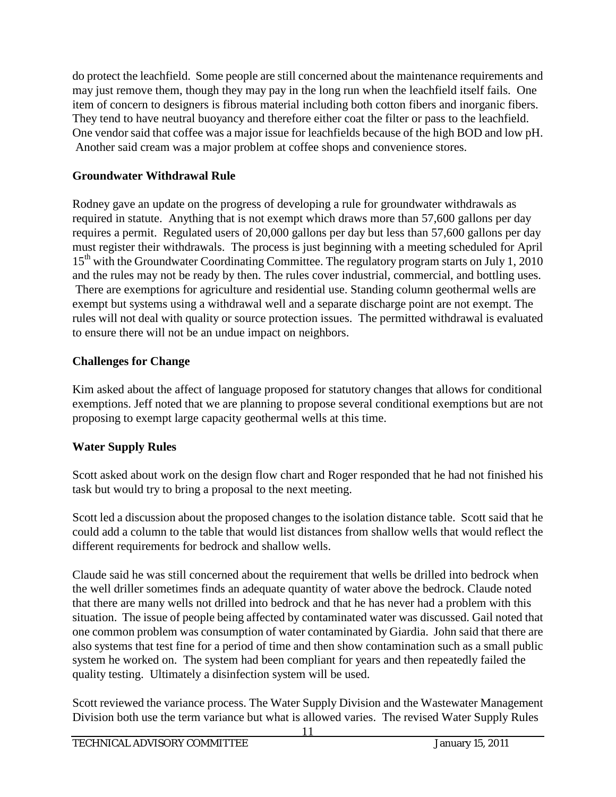do protect the leachfield. Some people are still concerned about the maintenance requirements and may just remove them, though they may pay in the long run when the leachfield itself fails. One item of concern to designers is fibrous material including both cotton fibers and inorganic fibers. They tend to have neutral buoyancy and therefore either coat the filter or pass to the leachfield. One vendor said that coffee was a major issue for leachfields because of the high BOD and low pH. Another said cream was a major problem at coffee shops and convenience stores.

## **Groundwater Withdrawal Rule**

Rodney gave an update on the progress of developing a rule for groundwater withdrawals as required in statute. Anything that is not exempt which draws more than 57,600 gallons per day requires a permit. Regulated users of 20,000 gallons per day but less than 57,600 gallons per day must register their withdrawals. The process is just beginning with a meeting scheduled for April 15<sup>th</sup> with the Groundwater Coordinating Committee. The regulatory program starts on July 1, 2010 and the rules may not be ready by then. The rules cover industrial, commercial, and bottling uses. There are exemptions for agriculture and residential use. Standing column geothermal wells are exempt but systems using a withdrawal well and a separate discharge point are not exempt. The rules will not deal with quality or source protection issues. The permitted withdrawal is evaluated to ensure there will not be an undue impact on neighbors.

## **Challenges for Change**

Kim asked about the affect of language proposed for statutory changes that allows for conditional exemptions. Jeff noted that we are planning to propose several conditional exemptions but are not proposing to exempt large capacity geothermal wells at this time.

## **Water Supply Rules**

Scott asked about work on the design flow chart and Roger responded that he had not finished his task but would try to bring a proposal to the next meeting.

Scott led a discussion about the proposed changes to the isolation distance table. Scott said that he could add a column to the table that would list distances from shallow wells that would reflect the different requirements for bedrock and shallow wells.

Claude said he was still concerned about the requirement that wells be drilled into bedrock when the well driller sometimes finds an adequate quantity of water above the bedrock. Claude noted that there are many wells not drilled into bedrock and that he has never had a problem with this situation. The issue of people being affected by contaminated water was discussed. Gail noted that one common problem was consumption of water contaminated by Giardia. John said that there are also systems that test fine for a period of time and then show contamination such as a small public system he worked on. The system had been compliant for years and then repeatedly failed the quality testing. Ultimately a disinfection system will be used.

Scott reviewed the variance process. The Water Supply Division and the Wastewater Management Division both use the term variance but what is allowed varies. The revised Water Supply Rules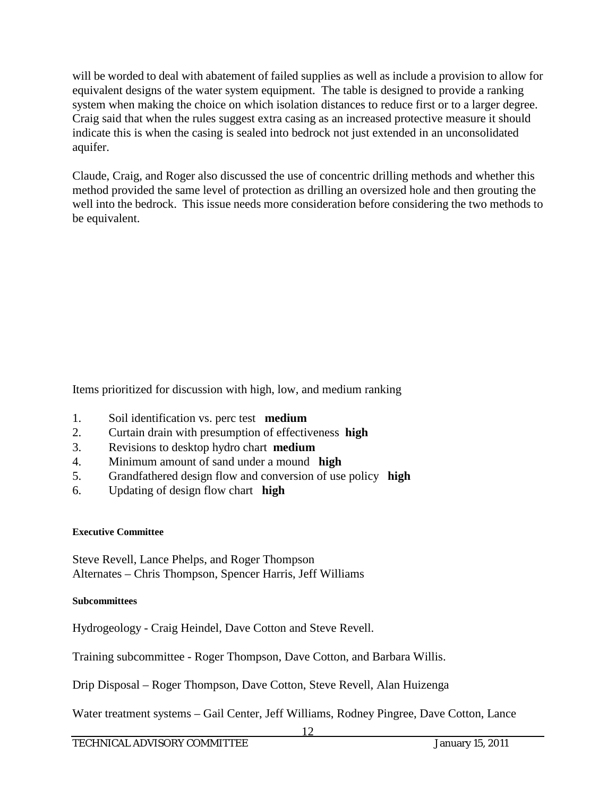will be worded to deal with abatement of failed supplies as well as include a provision to allow for equivalent designs of the water system equipment. The table is designed to provide a ranking system when making the choice on which isolation distances to reduce first or to a larger degree. Craig said that when the rules suggest extra casing as an increased protective measure it should indicate this is when the casing is sealed into bedrock not just extended in an unconsolidated aquifer.

Claude, Craig, and Roger also discussed the use of concentric drilling methods and whether this method provided the same level of protection as drilling an oversized hole and then grouting the well into the bedrock. This issue needs more consideration before considering the two methods to be equivalent.

Items prioritized for discussion with high, low, and medium ranking

- 1. Soil identification vs. perc test **medium**
- 2. Curtain drain with presumption of effectiveness **high**
- 3. Revisions to desktop hydro chart **medium**
- 4. Minimum amount of sand under a mound **high**
- 5. Grandfathered design flow and conversion of use policy **high**
- 6. Updating of design flow chart **high**

#### **Executive Committee**

Steve Revell, Lance Phelps, and Roger Thompson Alternates – Chris Thompson, Spencer Harris, Jeff Williams

#### **Subcommittees**

Hydrogeology - Craig Heindel, Dave Cotton and Steve Revell.

Training subcommittee - Roger Thompson, Dave Cotton, and Barbara Willis.

Drip Disposal – Roger Thompson, Dave Cotton, Steve Revell, Alan Huizenga

Water treatment systems – Gail Center, Jeff Williams, Rodney Pingree, Dave Cotton, Lance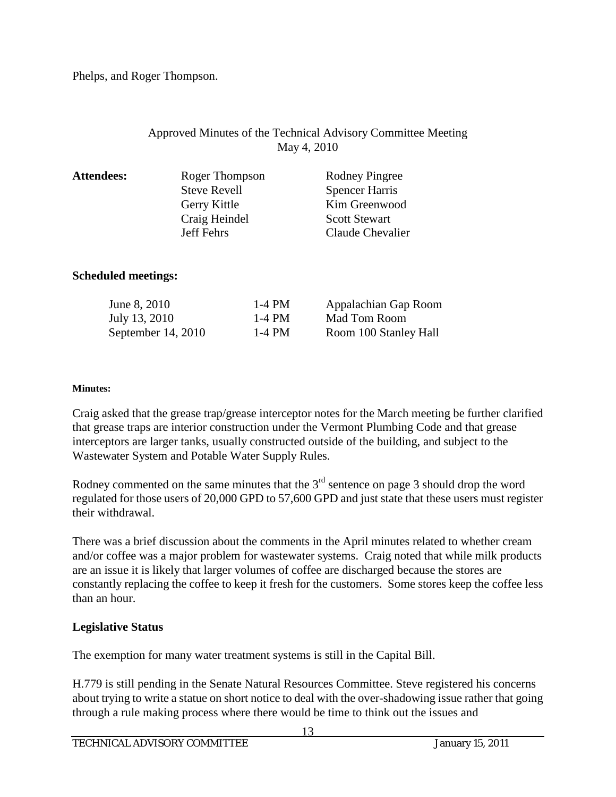Phelps, and Roger Thompson.

## Approved Minutes of the Technical Advisory Committee Meeting May 4, 2010

| <b>Attendees:</b> | Roger Thompson      | Rodney Pingree        |
|-------------------|---------------------|-----------------------|
|                   | <b>Steve Revell</b> | <b>Spencer Harris</b> |
|                   | Gerry Kittle        | Kim Greenwood         |
|                   | Craig Heindel       | <b>Scott Stewart</b>  |
|                   | <b>Jeff Fehrs</b>   | Claude Chevalier      |
|                   |                     |                       |

## **Scheduled meetings:**

| June 8, 2010         | 1-4 PM | Appalachian Gap Room  |
|----------------------|--------|-----------------------|
| July 13, 2010        | 1-4 PM | Mad Tom Room          |
| September $14, 2010$ | 1-4 PM | Room 100 Stanley Hall |

#### **Minutes:**

Craig asked that the grease trap/grease interceptor notes for the March meeting be further clarified that grease traps are interior construction under the Vermont Plumbing Code and that grease interceptors are larger tanks, usually constructed outside of the building, and subject to the Wastewater System and Potable Water Supply Rules.

Rodney commented on the same minutes that the  $3<sup>rd</sup>$  sentence on page 3 should drop the word regulated for those users of 20,000 GPD to 57,600 GPD and just state that these users must register their withdrawal.

There was a brief discussion about the comments in the April minutes related to whether cream and/or coffee was a major problem for wastewater systems. Craig noted that while milk products are an issue it is likely that larger volumes of coffee are discharged because the stores are constantly replacing the coffee to keep it fresh for the customers. Some stores keep the coffee less than an hour.

#### **Legislative Status**

The exemption for many water treatment systems is still in the Capital Bill.

H.779 is still pending in the Senate Natural Resources Committee. Steve registered his concerns about trying to write a statue on short notice to deal with the over-shadowing issue rather that going through a rule making process where there would be time to think out the issues and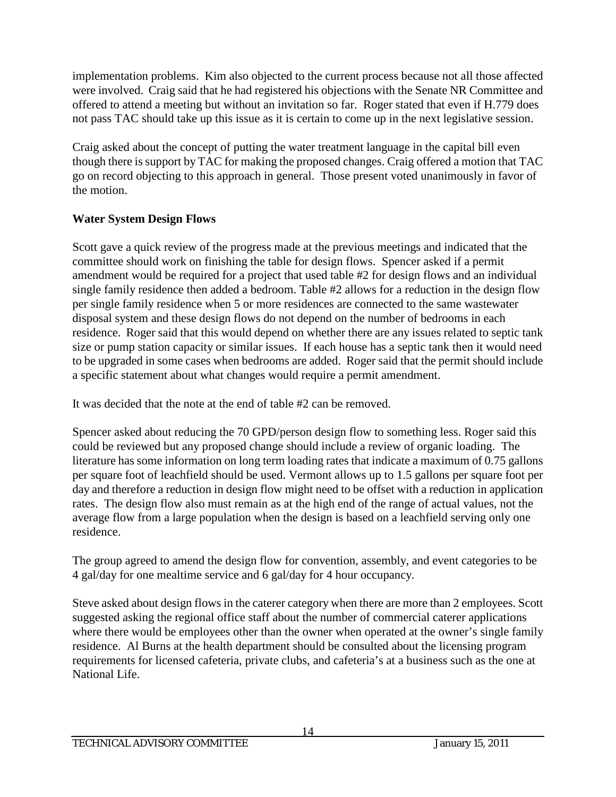implementation problems. Kim also objected to the current process because not all those affected were involved. Craig said that he had registered his objections with the Senate NR Committee and offered to attend a meeting but without an invitation so far. Roger stated that even if H.779 does not pass TAC should take up this issue as it is certain to come up in the next legislative session.

Craig asked about the concept of putting the water treatment language in the capital bill even though there is support by TAC for making the proposed changes. Craig offered a motion that TAC go on record objecting to this approach in general. Those present voted unanimously in favor of the motion.

## **Water System Design Flows**

Scott gave a quick review of the progress made at the previous meetings and indicated that the committee should work on finishing the table for design flows. Spencer asked if a permit amendment would be required for a project that used table #2 for design flows and an individual single family residence then added a bedroom. Table #2 allows for a reduction in the design flow per single family residence when 5 or more residences are connected to the same wastewater disposal system and these design flows do not depend on the number of bedrooms in each residence. Roger said that this would depend on whether there are any issues related to septic tank size or pump station capacity or similar issues. If each house has a septic tank then it would need to be upgraded in some cases when bedrooms are added. Roger said that the permit should include a specific statement about what changes would require a permit amendment.

It was decided that the note at the end of table #2 can be removed.

Spencer asked about reducing the 70 GPD/person design flow to something less. Roger said this could be reviewed but any proposed change should include a review of organic loading. The literature has some information on long term loading rates that indicate a maximum of 0.75 gallons per square foot of leachfield should be used. Vermont allows up to 1.5 gallons per square foot per day and therefore a reduction in design flow might need to be offset with a reduction in application rates. The design flow also must remain as at the high end of the range of actual values, not the average flow from a large population when the design is based on a leachfield serving only one residence.

The group agreed to amend the design flow for convention, assembly, and event categories to be 4 gal/day for one mealtime service and 6 gal/day for 4 hour occupancy.

Steve asked about design flows in the caterer category when there are more than 2 employees. Scott suggested asking the regional office staff about the number of commercial caterer applications where there would be employees other than the owner when operated at the owner's single family residence. Al Burns at the health department should be consulted about the licensing program requirements for licensed cafeteria, private clubs, and cafeteria's at a business such as the one at National Life.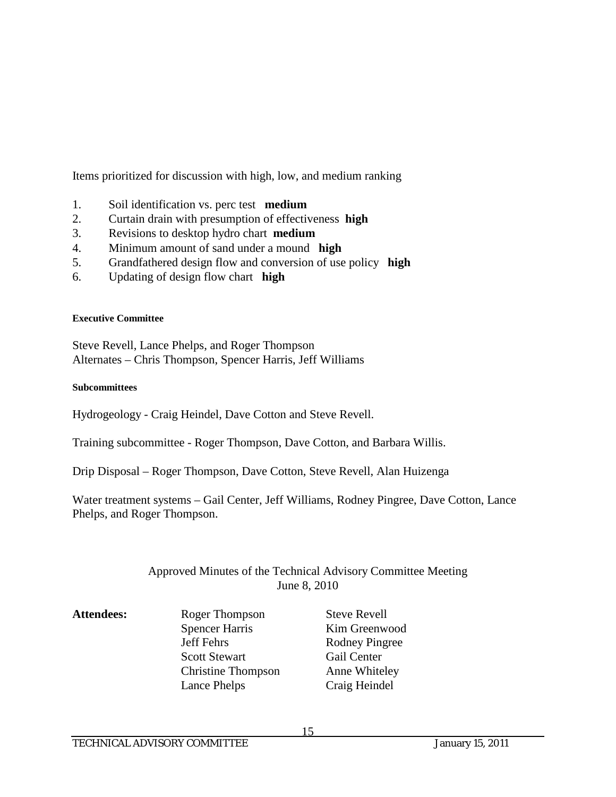Items prioritized for discussion with high, low, and medium ranking

- 1. Soil identification vs. perc test **medium**
- 2. Curtain drain with presumption of effectiveness **high**
- 3. Revisions to desktop hydro chart **medium**
- 4. Minimum amount of sand under a mound **high**
- 5. Grandfathered design flow and conversion of use policy **high**
- 6. Updating of design flow chart **high**

#### **Executive Committee**

Steve Revell, Lance Phelps, and Roger Thompson Alternates – Chris Thompson, Spencer Harris, Jeff Williams

#### **Subcommittees**

Hydrogeology - Craig Heindel, Dave Cotton and Steve Revell.

Training subcommittee - Roger Thompson, Dave Cotton, and Barbara Willis.

Drip Disposal – Roger Thompson, Dave Cotton, Steve Revell, Alan Huizenga

Water treatment systems – Gail Center, Jeff Williams, Rodney Pingree, Dave Cotton, Lance Phelps, and Roger Thompson.

#### Approved Minutes of the Technical Advisory Committee Meeting June 8, 2010

- Attendees: Roger Thompson Steve Revell Spencer Harris Kim Greenwood Jeff Fehrs Rodney Pingree Scott Stewart Gail Center Christine Thompson Anne Whiteley Lance Phelps Craig Heindel
-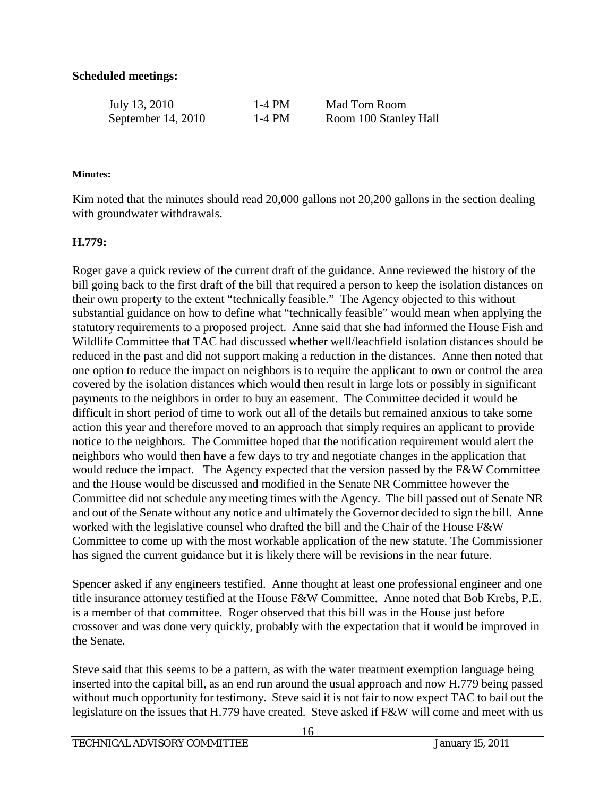## **Scheduled meetings:**

| July 13, 2010      | 1-4 PM | Mad Tom Room          |
|--------------------|--------|-----------------------|
| September 14, 2010 | 1-4 PM | Room 100 Stanley Hall |

#### **Minutes:**

Kim noted that the minutes should read 20,000 gallons not 20,200 gallons in the section dealing with groundwater withdrawals.

#### **H.779:**

Roger gave a quick review of the current draft of the guidance. Anne reviewed the history of the bill going back to the first draft of the bill that required a person to keep the isolation distances on their own property to the extent "technically feasible." The Agency objected to this without substantial guidance on how to define what "technically feasible" would mean when applying the statutory requirements to a proposed project. Anne said that she had informed the House Fish and Wildlife Committee that TAC had discussed whether well/leachfield isolation distances should be reduced in the past and did not support making a reduction in the distances. Anne then noted that one option to reduce the impact on neighbors is to require the applicant to own or control the area covered by the isolation distances which would then result in large lots or possibly in significant payments to the neighbors in order to buy an easement. The Committee decided it would be difficult in short period of time to work out all of the details but remained anxious to take some action this year and therefore moved to an approach that simply requires an applicant to provide notice to the neighbors. The Committee hoped that the notification requirement would alert the neighbors who would then have a few days to try and negotiate changes in the application that would reduce the impact. The Agency expected that the version passed by the F&W Committee and the House would be discussed and modified in the Senate NR Committee however the Committee did not schedule any meeting times with the Agency. The bill passed out of Senate NR and out of the Senate without any notice and ultimately the Governor decided to sign the bill. Anne worked with the legislative counsel who drafted the bill and the Chair of the House F&W Committee to come up with the most workable application of the new statute. The Commissioner has signed the current guidance but it is likely there will be revisions in the near future.

Spencer asked if any engineers testified. Anne thought at least one professional engineer and one title insurance attorney testified at the House F&W Committee. Anne noted that Bob Krebs, P.E. is a member of that committee. Roger observed that this bill was in the House just before crossover and was done very quickly, probably with the expectation that it would be improved in the Senate.

Steve said that this seems to be a pattern, as with the water treatment exemption language being inserted into the capital bill, as an end run around the usual approach and now H.779 being passed without much opportunity for testimony. Steve said it is not fair to now expect TAC to bail out the legislature on the issues that H.779 have created. Steve asked if F&W will come and meet with us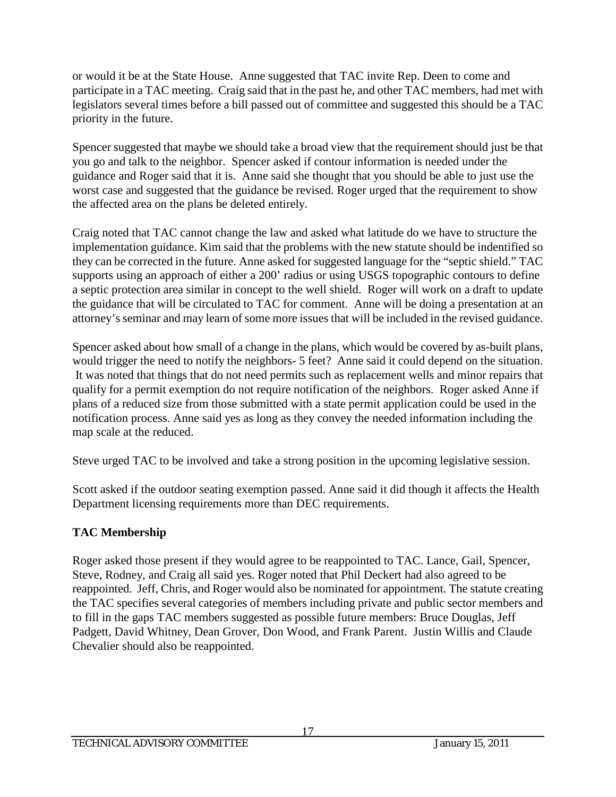or would it be at the State House. Anne suggested that TAC invite Rep. Deen to come and participate in a TAC meeting. Craig said that in the past he, and other TAC members, had met with legislators several times before a bill passed out of committee and suggested this should be a TAC priority in the future.

Spencer suggested that maybe we should take a broad view that the requirement should just be that you go and talk to the neighbor. Spencer asked if contour information is needed under the guidance and Roger said that it is. Anne said she thought that you should be able to just use the worst case and suggested that the guidance be revised. Roger urged that the requirement to show the affected area on the plans be deleted entirely.

Craig noted that TAC cannot change the law and asked what latitude do we have to structure the implementation guidance. Kim said that the problems with the new statute should be indentified so they can be corrected in the future. Anne asked for suggested language for the "septic shield." TAC supports using an approach of either a 200' radius or using USGS topographic contours to define a septic protection area similar in concept to the well shield. Roger will work on a draft to update the guidance that will be circulated to TAC for comment. Anne will be doing a presentation at an attorney's seminar and may learn of some more issues that will be included in the revised guidance.

Spencer asked about how small of a change in the plans, which would be covered by as-built plans, would trigger the need to notify the neighbors- 5 feet? Anne said it could depend on the situation. It was noted that things that do not need permits such as replacement wells and minor repairs that qualify for a permit exemption do not require notification of the neighbors. Roger asked Anne if plans of a reduced size from those submitted with a state permit application could be used in the notification process. Anne said yes as long as they convey the needed information including the map scale at the reduced.

Steve urged TAC to be involved and take a strong position in the upcoming legislative session.

Scott asked if the outdoor seating exemption passed. Anne said it did though it affects the Health Department licensing requirements more than DEC requirements.

# **TAC Membership**

Roger asked those present if they would agree to be reappointed to TAC. Lance, Gail, Spencer, Steve, Rodney, and Craig all said yes. Roger noted that Phil Deckert had also agreed to be reappointed. Jeff, Chris, and Roger would also be nominated for appointment. The statute creating the TAC specifies several categories of members including private and public sector members and to fill in the gaps TAC members suggested as possible future members: Bruce Douglas, Jeff Padgett, David Whitney, Dean Grover, Don Wood, and Frank Parent. Justin Willis and Claude Chevalier should also be reappointed.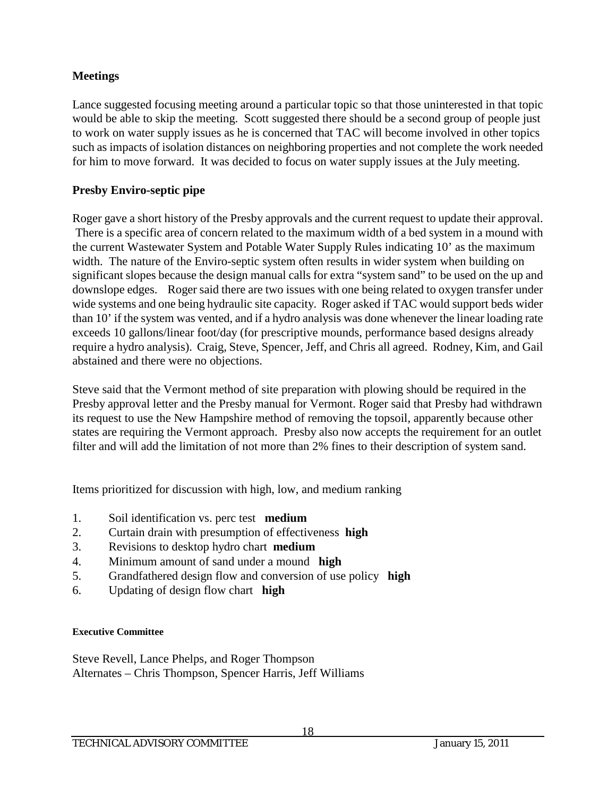## **Meetings**

Lance suggested focusing meeting around a particular topic so that those uninterested in that topic would be able to skip the meeting. Scott suggested there should be a second group of people just to work on water supply issues as he is concerned that TAC will become involved in other topics such as impacts of isolation distances on neighboring properties and not complete the work needed for him to move forward. It was decided to focus on water supply issues at the July meeting.

## **Presby Enviro-septic pipe**

Roger gave a short history of the Presby approvals and the current request to update their approval. There is a specific area of concern related to the maximum width of a bed system in a mound with the current Wastewater System and Potable Water Supply Rules indicating 10' as the maximum width. The nature of the Enviro-septic system often results in wider system when building on significant slopes because the design manual calls for extra "system sand" to be used on the up and downslope edges. Roger said there are two issues with one being related to oxygen transfer under wide systems and one being hydraulic site capacity. Roger asked if TAC would support beds wider than 10' if the system was vented, and if a hydro analysis was done whenever the linear loading rate exceeds 10 gallons/linear foot/day (for prescriptive mounds, performance based designs already require a hydro analysis). Craig, Steve, Spencer, Jeff, and Chris all agreed. Rodney, Kim, and Gail abstained and there were no objections.

Steve said that the Vermont method of site preparation with plowing should be required in the Presby approval letter and the Presby manual for Vermont. Roger said that Presby had withdrawn its request to use the New Hampshire method of removing the topsoil, apparently because other states are requiring the Vermont approach. Presby also now accepts the requirement for an outlet filter and will add the limitation of not more than 2% fines to their description of system sand.

Items prioritized for discussion with high, low, and medium ranking

- 1. Soil identification vs. perc test **medium**
- 2. Curtain drain with presumption of effectiveness **high**
- 3. Revisions to desktop hydro chart **medium**
- 4. Minimum amount of sand under a mound **high**
- 5. Grandfathered design flow and conversion of use policy **high**
- 6. Updating of design flow chart **high**

#### **Executive Committee**

Steve Revell, Lance Phelps, and Roger Thompson Alternates – Chris Thompson, Spencer Harris, Jeff Williams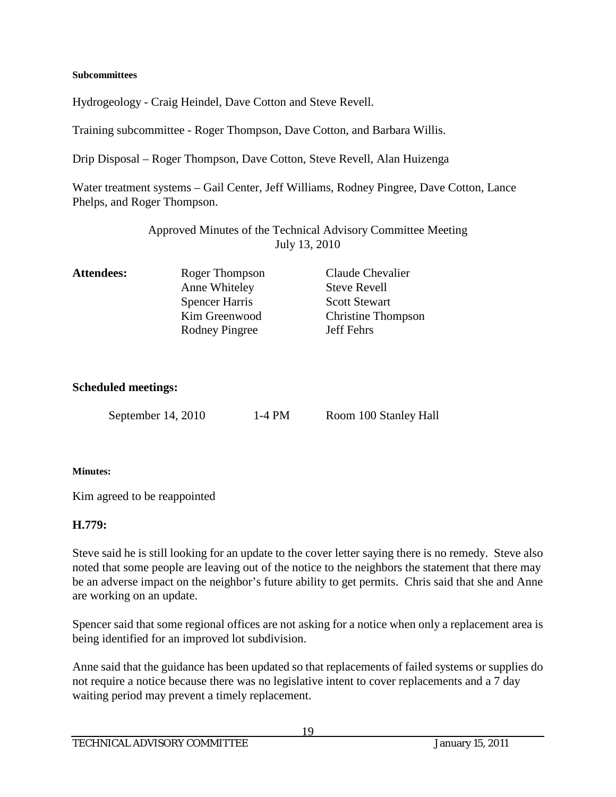#### **Subcommittees**

Hydrogeology - Craig Heindel, Dave Cotton and Steve Revell.

Training subcommittee - Roger Thompson, Dave Cotton, and Barbara Willis.

Drip Disposal – Roger Thompson, Dave Cotton, Steve Revell, Alan Huizenga

Water treatment systems – Gail Center, Jeff Williams, Rodney Pingree, Dave Cotton, Lance Phelps, and Roger Thompson.

> Approved Minutes of the Technical Advisory Committee Meeting July 13, 2010

| <b>Attendees:</b> | Roger Thompson        | Claude Chevalier          |
|-------------------|-----------------------|---------------------------|
|                   | Anne Whiteley         | <b>Steve Revell</b>       |
|                   | <b>Spencer Harris</b> | <b>Scott Stewart</b>      |
|                   | Kim Greenwood         | <b>Christine Thompson</b> |
|                   | Rodney Pingree        | <b>Jeff Fehrs</b>         |
|                   |                       |                           |

#### **Scheduled meetings:**

September 14, 2010 1-4 PM Room 100 Stanley Hall

#### **Minutes:**

Kim agreed to be reappointed

#### **H.779:**

Steve said he is still looking for an update to the cover letter saying there is no remedy. Steve also noted that some people are leaving out of the notice to the neighbors the statement that there may be an adverse impact on the neighbor's future ability to get permits. Chris said that she and Anne are working on an update.

Spencer said that some regional offices are not asking for a notice when only a replacement area is being identified for an improved lot subdivision.

Anne said that the guidance has been updated so that replacements of failed systems or supplies do not require a notice because there was no legislative intent to cover replacements and a 7 day waiting period may prevent a timely replacement.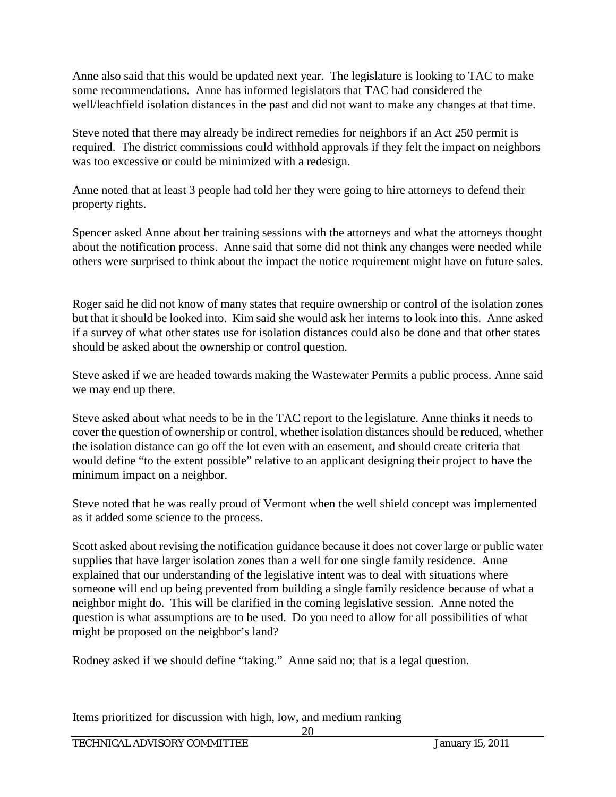Anne also said that this would be updated next year. The legislature is looking to TAC to make some recommendations. Anne has informed legislators that TAC had considered the well/leachfield isolation distances in the past and did not want to make any changes at that time.

Steve noted that there may already be indirect remedies for neighbors if an Act 250 permit is required. The district commissions could withhold approvals if they felt the impact on neighbors was too excessive or could be minimized with a redesign.

Anne noted that at least 3 people had told her they were going to hire attorneys to defend their property rights.

Spencer asked Anne about her training sessions with the attorneys and what the attorneys thought about the notification process. Anne said that some did not think any changes were needed while others were surprised to think about the impact the notice requirement might have on future sales.

Roger said he did not know of many states that require ownership or control of the isolation zones but that it should be looked into. Kim said she would ask her interns to look into this. Anne asked if a survey of what other states use for isolation distances could also be done and that other states should be asked about the ownership or control question.

Steve asked if we are headed towards making the Wastewater Permits a public process. Anne said we may end up there.

Steve asked about what needs to be in the TAC report to the legislature. Anne thinks it needs to cover the question of ownership or control, whether isolation distances should be reduced, whether the isolation distance can go off the lot even with an easement, and should create criteria that would define "to the extent possible" relative to an applicant designing their project to have the minimum impact on a neighbor.

Steve noted that he was really proud of Vermont when the well shield concept was implemented as it added some science to the process.

Scott asked about revising the notification guidance because it does not cover large or public water supplies that have larger isolation zones than a well for one single family residence. Anne explained that our understanding of the legislative intent was to deal with situations where someone will end up being prevented from building a single family residence because of what a neighbor might do. This will be clarified in the coming legislative session. Anne noted the question is what assumptions are to be used. Do you need to allow for all possibilities of what might be proposed on the neighbor's land?

Rodney asked if we should define "taking." Anne said no; that is a legal question.

Items prioritized for discussion with high, low, and medium ranking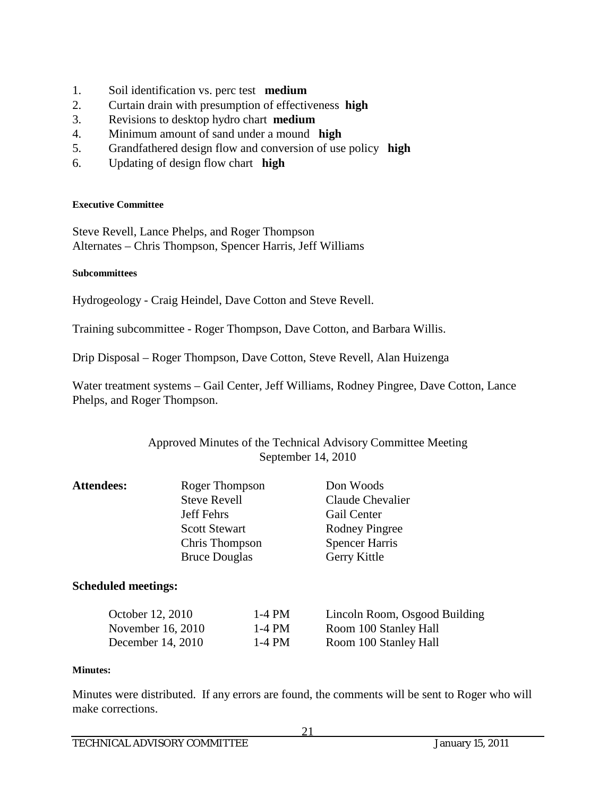- 1. Soil identification vs. perc test **medium**
- 2. Curtain drain with presumption of effectiveness **high**
- 3. Revisions to desktop hydro chart **medium**
- 4. Minimum amount of sand under a mound **high**
- 5. Grandfathered design flow and conversion of use policy **high**
- 6. Updating of design flow chart **high**

#### **Executive Committee**

Steve Revell, Lance Phelps, and Roger Thompson Alternates – Chris Thompson, Spencer Harris, Jeff Williams

#### **Subcommittees**

Hydrogeology - Craig Heindel, Dave Cotton and Steve Revell.

Training subcommittee - Roger Thompson, Dave Cotton, and Barbara Willis.

Drip Disposal – Roger Thompson, Dave Cotton, Steve Revell, Alan Huizenga

Water treatment systems – Gail Center, Jeff Williams, Rodney Pingree, Dave Cotton, Lance Phelps, and Roger Thompson.

#### Approved Minutes of the Technical Advisory Committee Meeting September 14, 2010

| <b>Attendees:</b> | Roger Thompson       | Don Woods             |
|-------------------|----------------------|-----------------------|
|                   | <b>Steve Revell</b>  | Claude Chevalier      |
|                   | <b>Jeff Fehrs</b>    | Gail Center           |
|                   | <b>Scott Stewart</b> | <b>Rodney Pingree</b> |
|                   | Chris Thompson       | <b>Spencer Harris</b> |
|                   | <b>Bruce Douglas</b> | Gerry Kittle          |
|                   |                      |                       |

#### **Scheduled meetings:**

| October 12, 2010  | 1-4 PM | Lincoln Room, Osgood Building |
|-------------------|--------|-------------------------------|
| November 16, 2010 | 1-4 PM | Room 100 Stanley Hall         |
| December 14, 2010 | 1-4 PM | Room 100 Stanley Hall         |

#### **Minutes:**

Minutes were distributed. If any errors are found, the comments will be sent to Roger who will make corrections.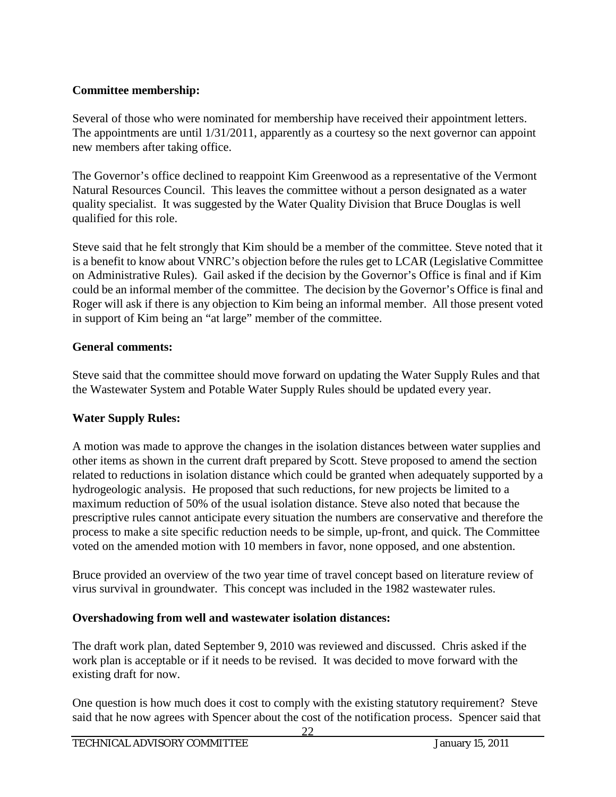## **Committee membership:**

Several of those who were nominated for membership have received their appointment letters. The appointments are until 1/31/2011, apparently as a courtesy so the next governor can appoint new members after taking office.

The Governor's office declined to reappoint Kim Greenwood as a representative of the Vermont Natural Resources Council. This leaves the committee without a person designated as a water quality specialist. It was suggested by the Water Quality Division that Bruce Douglas is well qualified for this role.

Steve said that he felt strongly that Kim should be a member of the committee. Steve noted that it is a benefit to know about VNRC's objection before the rules get to LCAR (Legislative Committee on Administrative Rules). Gail asked if the decision by the Governor's Office is final and if Kim could be an informal member of the committee. The decision by the Governor's Office is final and Roger will ask if there is any objection to Kim being an informal member. All those present voted in support of Kim being an "at large" member of the committee.

## **General comments:**

Steve said that the committee should move forward on updating the Water Supply Rules and that the Wastewater System and Potable Water Supply Rules should be updated every year.

# **Water Supply Rules:**

A motion was made to approve the changes in the isolation distances between water supplies and other items as shown in the current draft prepared by Scott. Steve proposed to amend the section related to reductions in isolation distance which could be granted when adequately supported by a hydrogeologic analysis. He proposed that such reductions, for new projects be limited to a maximum reduction of 50% of the usual isolation distance. Steve also noted that because the prescriptive rules cannot anticipate every situation the numbers are conservative and therefore the process to make a site specific reduction needs to be simple, up-front, and quick. The Committee voted on the amended motion with 10 members in favor, none opposed, and one abstention.

Bruce provided an overview of the two year time of travel concept based on literature review of virus survival in groundwater. This concept was included in the 1982 wastewater rules.

# **Overshadowing from well and wastewater isolation distances:**

The draft work plan, dated September 9, 2010 was reviewed and discussed. Chris asked if the work plan is acceptable or if it needs to be revised. It was decided to move forward with the existing draft for now.

One question is how much does it cost to comply with the existing statutory requirement? Steve said that he now agrees with Spencer about the cost of the notification process. Spencer said that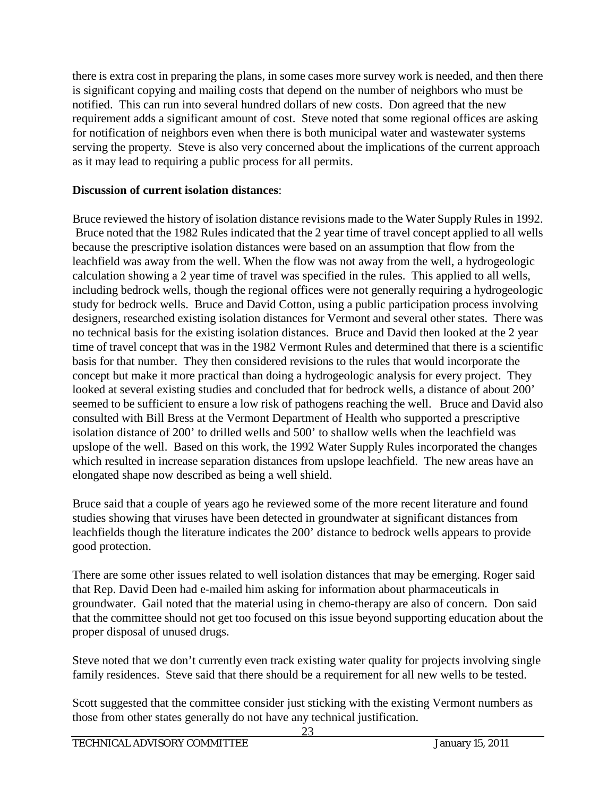there is extra cost in preparing the plans, in some cases more survey work is needed, and then there is significant copying and mailing costs that depend on the number of neighbors who must be notified. This can run into several hundred dollars of new costs. Don agreed that the new requirement adds a significant amount of cost. Steve noted that some regional offices are asking for notification of neighbors even when there is both municipal water and wastewater systems serving the property. Steve is also very concerned about the implications of the current approach as it may lead to requiring a public process for all permits.

## **Discussion of current isolation distances**:

Bruce reviewed the history of isolation distance revisions made to the Water Supply Rules in 1992. Bruce noted that the 1982 Rules indicated that the 2 year time of travel concept applied to all wells because the prescriptive isolation distances were based on an assumption that flow from the leachfield was away from the well. When the flow was not away from the well, a hydrogeologic calculation showing a 2 year time of travel was specified in the rules. This applied to all wells, including bedrock wells, though the regional offices were not generally requiring a hydrogeologic study for bedrock wells. Bruce and David Cotton, using a public participation process involving designers, researched existing isolation distances for Vermont and several other states. There was no technical basis for the existing isolation distances. Bruce and David then looked at the 2 year time of travel concept that was in the 1982 Vermont Rules and determined that there is a scientific basis for that number. They then considered revisions to the rules that would incorporate the concept but make it more practical than doing a hydrogeologic analysis for every project. They looked at several existing studies and concluded that for bedrock wells, a distance of about 200' seemed to be sufficient to ensure a low risk of pathogens reaching the well. Bruce and David also consulted with Bill Bress at the Vermont Department of Health who supported a prescriptive isolation distance of 200' to drilled wells and 500' to shallow wells when the leachfield was upslope of the well. Based on this work, the 1992 Water Supply Rules incorporated the changes which resulted in increase separation distances from upslope leachfield. The new areas have an elongated shape now described as being a well shield.

Bruce said that a couple of years ago he reviewed some of the more recent literature and found studies showing that viruses have been detected in groundwater at significant distances from leachfields though the literature indicates the 200' distance to bedrock wells appears to provide good protection.

There are some other issues related to well isolation distances that may be emerging. Roger said that Rep. David Deen had e-mailed him asking for information about pharmaceuticals in groundwater. Gail noted that the material using in chemo-therapy are also of concern. Don said that the committee should not get too focused on this issue beyond supporting education about the proper disposal of unused drugs.

Steve noted that we don't currently even track existing water quality for projects involving single family residences. Steve said that there should be a requirement for all new wells to be tested.

Scott suggested that the committee consider just sticking with the existing Vermont numbers as those from other states generally do not have any technical justification.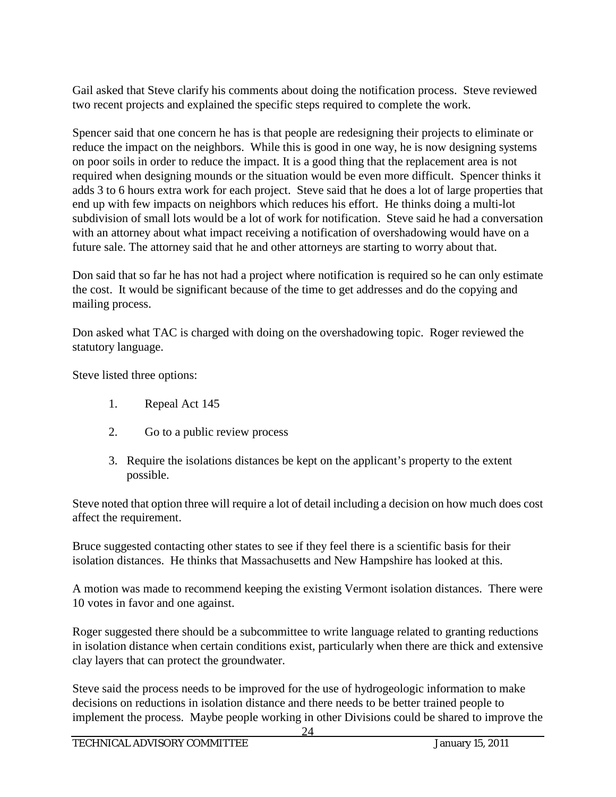Gail asked that Steve clarify his comments about doing the notification process. Steve reviewed two recent projects and explained the specific steps required to complete the work.

Spencer said that one concern he has is that people are redesigning their projects to eliminate or reduce the impact on the neighbors. While this is good in one way, he is now designing systems on poor soils in order to reduce the impact. It is a good thing that the replacement area is not required when designing mounds or the situation would be even more difficult. Spencer thinks it adds 3 to 6 hours extra work for each project. Steve said that he does a lot of large properties that end up with few impacts on neighbors which reduces his effort. He thinks doing a multi-lot subdivision of small lots would be a lot of work for notification. Steve said he had a conversation with an attorney about what impact receiving a notification of overshadowing would have on a future sale. The attorney said that he and other attorneys are starting to worry about that.

Don said that so far he has not had a project where notification is required so he can only estimate the cost. It would be significant because of the time to get addresses and do the copying and mailing process.

Don asked what TAC is charged with doing on the overshadowing topic. Roger reviewed the statutory language.

Steve listed three options:

- 1. Repeal Act 145
- 2. Go to a public review process
- 3. Require the isolations distances be kept on the applicant's property to the extent possible.

Steve noted that option three will require a lot of detail including a decision on how much does cost affect the requirement.

Bruce suggested contacting other states to see if they feel there is a scientific basis for their isolation distances. He thinks that Massachusetts and New Hampshire has looked at this.

A motion was made to recommend keeping the existing Vermont isolation distances. There were 10 votes in favor and one against.

Roger suggested there should be a subcommittee to write language related to granting reductions in isolation distance when certain conditions exist, particularly when there are thick and extensive clay layers that can protect the groundwater.

Steve said the process needs to be improved for the use of hydrogeologic information to make decisions on reductions in isolation distance and there needs to be better trained people to implement the process. Maybe people working in other Divisions could be shared to improve the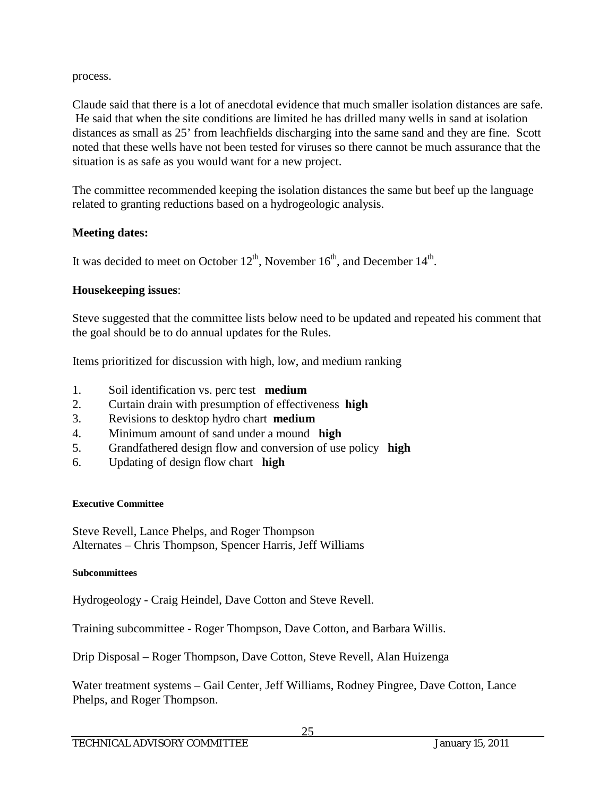process.

Claude said that there is a lot of anecdotal evidence that much smaller isolation distances are safe. He said that when the site conditions are limited he has drilled many wells in sand at isolation distances as small as 25' from leachfields discharging into the same sand and they are fine. Scott noted that these wells have not been tested for viruses so there cannot be much assurance that the situation is as safe as you would want for a new project.

The committee recommended keeping the isolation distances the same but beef up the language related to granting reductions based on a hydrogeologic analysis.

## **Meeting dates:**

It was decided to meet on October  $12^{th}$ , November  $16^{th}$ , and December  $14^{th}$ .

## **Housekeeping issues**:

Steve suggested that the committee lists below need to be updated and repeated his comment that the goal should be to do annual updates for the Rules.

Items prioritized for discussion with high, low, and medium ranking

- 1. Soil identification vs. perc test **medium**
- 2. Curtain drain with presumption of effectiveness **high**
- 3. Revisions to desktop hydro chart **medium**
- 4. Minimum amount of sand under a mound **high**
- 5. Grandfathered design flow and conversion of use policy **high**
- 6. Updating of design flow chart **high**

## **Executive Committee**

Steve Revell, Lance Phelps, and Roger Thompson Alternates – Chris Thompson, Spencer Harris, Jeff Williams

#### **Subcommittees**

Hydrogeology - Craig Heindel, Dave Cotton and Steve Revell.

Training subcommittee - Roger Thompson, Dave Cotton, and Barbara Willis.

Drip Disposal – Roger Thompson, Dave Cotton, Steve Revell, Alan Huizenga

Water treatment systems – Gail Center, Jeff Williams, Rodney Pingree, Dave Cotton, Lance Phelps, and Roger Thompson.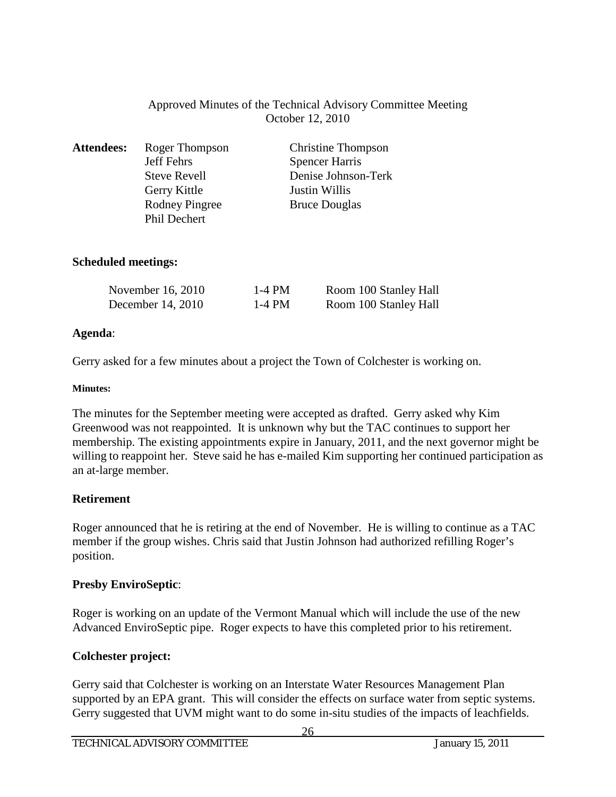## Approved Minutes of the Technical Advisory Committee Meeting October 12, 2010

| <b>Attendees:</b> | Roger Thompson        | <b>Christine Thompson</b> |
|-------------------|-----------------------|---------------------------|
|                   | Jeff Fehrs            | <b>Spencer Harris</b>     |
|                   | <b>Steve Revell</b>   | Denise Johnson-Terk       |
|                   | Gerry Kittle          | <b>Justin Willis</b>      |
|                   | <b>Rodney Pingree</b> | <b>Bruce Douglas</b>      |
|                   | Phil Dechert          |                           |

#### **Scheduled meetings:**

| November 16, 2010 | 1-4 PM | Room 100 Stanley Hall |
|-------------------|--------|-----------------------|
| December 14, 2010 | 1-4 PM | Room 100 Stanley Hall |

#### **Agenda**:

Gerry asked for a few minutes about a project the Town of Colchester is working on.

#### **Minutes:**

The minutes for the September meeting were accepted as drafted. Gerry asked why Kim Greenwood was not reappointed. It is unknown why but the TAC continues to support her membership. The existing appointments expire in January, 2011, and the next governor might be willing to reappoint her. Steve said he has e-mailed Kim supporting her continued participation as an at-large member.

## **Retirement**

Roger announced that he is retiring at the end of November. He is willing to continue as a TAC member if the group wishes. Chris said that Justin Johnson had authorized refilling Roger's position.

## **Presby EnviroSeptic**:

Roger is working on an update of the Vermont Manual which will include the use of the new Advanced EnviroSeptic pipe. Roger expects to have this completed prior to his retirement.

# **Colchester project:**

Gerry said that Colchester is working on an Interstate Water Resources Management Plan supported by an EPA grant. This will consider the effects on surface water from septic systems. Gerry suggested that UVM might want to do some in-situ studies of the impacts of leachfields.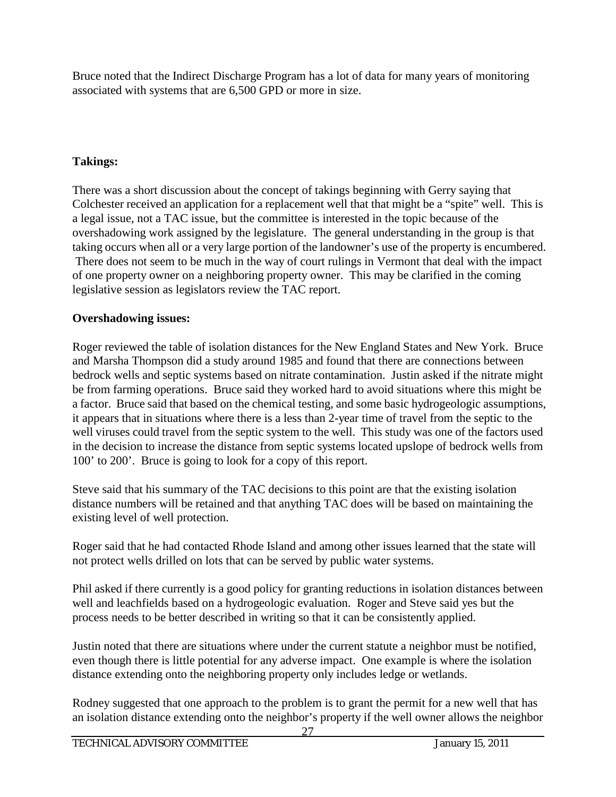Bruce noted that the Indirect Discharge Program has a lot of data for many years of monitoring associated with systems that are 6,500 GPD or more in size.

## **Takings:**

There was a short discussion about the concept of takings beginning with Gerry saying that Colchester received an application for a replacement well that that might be a "spite" well. This is a legal issue, not a TAC issue, but the committee is interested in the topic because of the overshadowing work assigned by the legislature. The general understanding in the group is that taking occurs when all or a very large portion of the landowner's use of the property is encumbered. There does not seem to be much in the way of court rulings in Vermont that deal with the impact of one property owner on a neighboring property owner. This may be clarified in the coming legislative session as legislators review the TAC report.

## **Overshadowing issues:**

Roger reviewed the table of isolation distances for the New England States and New York. Bruce and Marsha Thompson did a study around 1985 and found that there are connections between bedrock wells and septic systems based on nitrate contamination. Justin asked if the nitrate might be from farming operations. Bruce said they worked hard to avoid situations where this might be a factor. Bruce said that based on the chemical testing, and some basic hydrogeologic assumptions, it appears that in situations where there is a less than 2-year time of travel from the septic to the well viruses could travel from the septic system to the well. This study was one of the factors used in the decision to increase the distance from septic systems located upslope of bedrock wells from 100' to 200'. Bruce is going to look for a copy of this report.

Steve said that his summary of the TAC decisions to this point are that the existing isolation distance numbers will be retained and that anything TAC does will be based on maintaining the existing level of well protection.

Roger said that he had contacted Rhode Island and among other issues learned that the state will not protect wells drilled on lots that can be served by public water systems.

Phil asked if there currently is a good policy for granting reductions in isolation distances between well and leachfields based on a hydrogeologic evaluation. Roger and Steve said yes but the process needs to be better described in writing so that it can be consistently applied.

Justin noted that there are situations where under the current statute a neighbor must be notified, even though there is little potential for any adverse impact. One example is where the isolation distance extending onto the neighboring property only includes ledge or wetlands.

Rodney suggested that one approach to the problem is to grant the permit for a new well that has an isolation distance extending onto the neighbor's property if the well owner allows the neighbor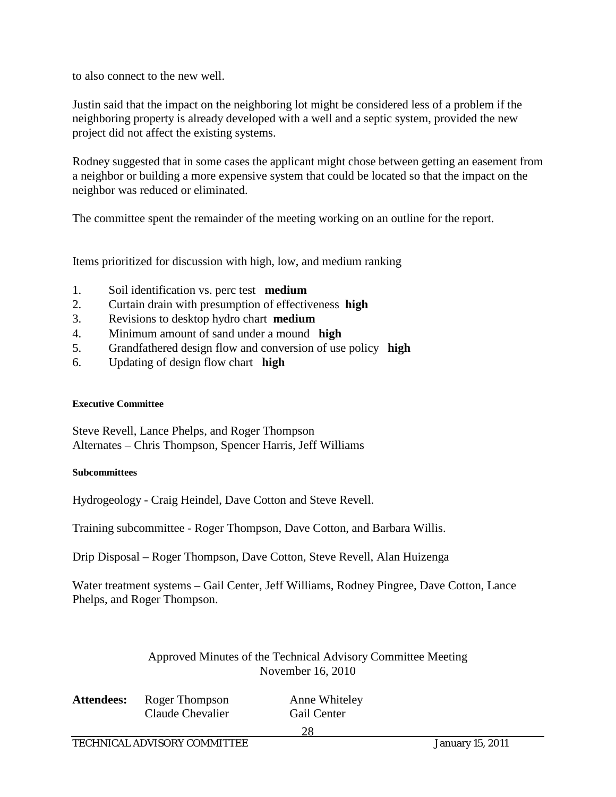to also connect to the new well.

Justin said that the impact on the neighboring lot might be considered less of a problem if the neighboring property is already developed with a well and a septic system, provided the new project did not affect the existing systems.

Rodney suggested that in some cases the applicant might chose between getting an easement from a neighbor or building a more expensive system that could be located so that the impact on the neighbor was reduced or eliminated.

The committee spent the remainder of the meeting working on an outline for the report.

Items prioritized for discussion with high, low, and medium ranking

- 1. Soil identification vs. perc test **medium**
- 2. Curtain drain with presumption of effectiveness **high**
- 3. Revisions to desktop hydro chart **medium**
- 4. Minimum amount of sand under a mound **high**
- 5. Grandfathered design flow and conversion of use policy **high**
- 6. Updating of design flow chart **high**

#### **Executive Committee**

Steve Revell, Lance Phelps, and Roger Thompson Alternates – Chris Thompson, Spencer Harris, Jeff Williams

#### **Subcommittees**

Hydrogeology - Craig Heindel, Dave Cotton and Steve Revell.

Training subcommittee - Roger Thompson, Dave Cotton, and Barbara Willis.

Drip Disposal – Roger Thompson, Dave Cotton, Steve Revell, Alan Huizenga

Water treatment systems – Gail Center, Jeff Williams, Rodney Pingree, Dave Cotton, Lance Phelps, and Roger Thompson.

#### Approved Minutes of the Technical Advisory Committee Meeting November 16, 2010

| <b>Attendees:</b> Roger Thompson | Anne Whiteley |
|----------------------------------|---------------|
| Claude Chevalier                 | Gail Center   |
|                                  | 28            |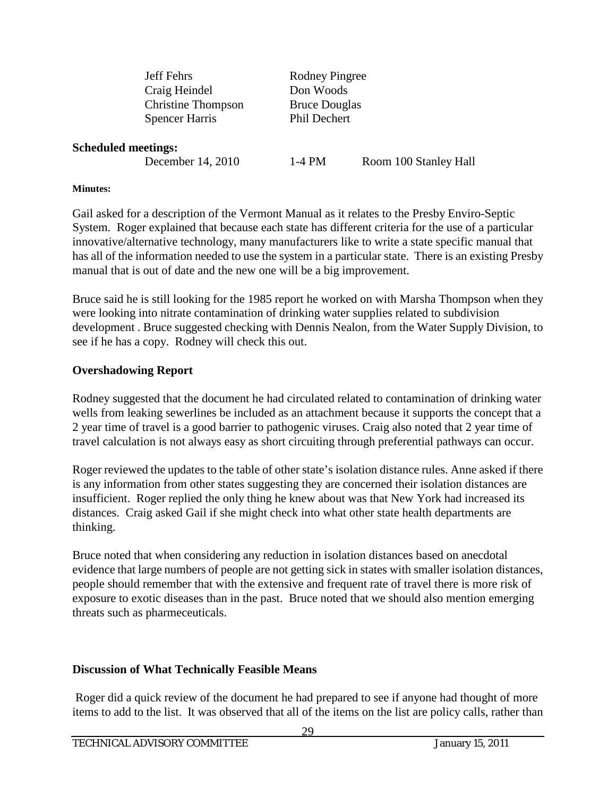| <b>Jeff Fehrs</b>         | Rodney Pingree       |
|---------------------------|----------------------|
| Craig Heindel             | Don Woods            |
| <b>Christine Thompson</b> | <b>Bruce Douglas</b> |
| <b>Spencer Harris</b>     | Phil Dechert         |
|                           |                      |
| neetings:                 |                      |

#### **Scheduled n**

December 14, 2010 1-4 PM Room 100 Stanley Hall

#### **Minutes:**

Gail asked for a description of the Vermont Manual as it relates to the Presby Enviro-Septic System. Roger explained that because each state has different criteria for the use of a particular innovative/alternative technology, many manufacturers like to write a state specific manual that has all of the information needed to use the system in a particular state. There is an existing Presby manual that is out of date and the new one will be a big improvement.

Bruce said he is still looking for the 1985 report he worked on with Marsha Thompson when they were looking into nitrate contamination of drinking water supplies related to subdivision development . Bruce suggested checking with Dennis Nealon, from the Water Supply Division, to see if he has a copy. Rodney will check this out.

#### **Overshadowing Report**

Rodney suggested that the document he had circulated related to contamination of drinking water wells from leaking sewerlines be included as an attachment because it supports the concept that a 2 year time of travel is a good barrier to pathogenic viruses. Craig also noted that 2 year time of travel calculation is not always easy as short circuiting through preferential pathways can occur.

Roger reviewed the updates to the table of other state's isolation distance rules. Anne asked if there is any information from other states suggesting they are concerned their isolation distances are insufficient. Roger replied the only thing he knew about was that New York had increased its distances. Craig asked Gail if she might check into what other state health departments are thinking.

Bruce noted that when considering any reduction in isolation distances based on anecdotal evidence that large numbers of people are not getting sick in states with smaller isolation distances, people should remember that with the extensive and frequent rate of travel there is more risk of exposure to exotic diseases than in the past. Bruce noted that we should also mention emerging threats such as pharmeceuticals.

## **Discussion of What Technically Feasible Means**

Roger did a quick review of the document he had prepared to see if anyone had thought of more items to add to the list. It was observed that all of the items on the list are policy calls, rather than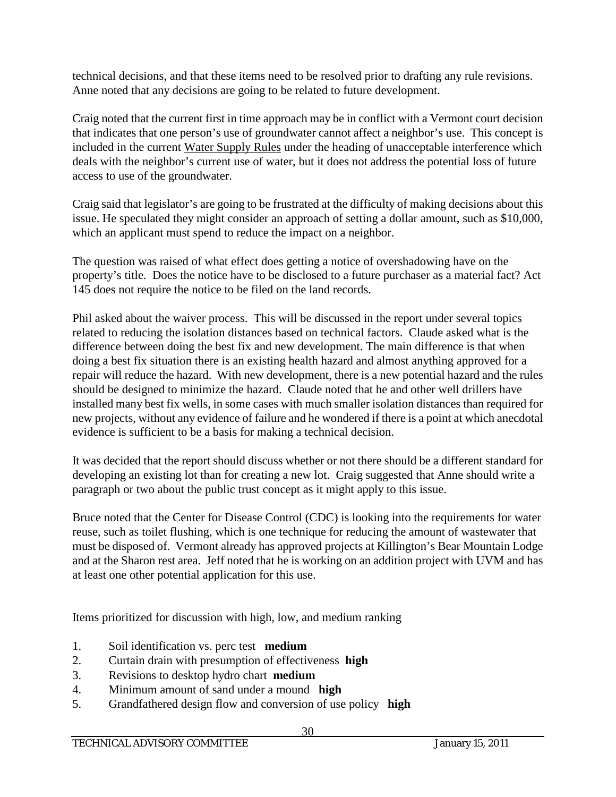technical decisions, and that these items need to be resolved prior to drafting any rule revisions. Anne noted that any decisions are going to be related to future development.

Craig noted that the current first in time approach may be in conflict with a Vermont court decision that indicates that one person's use of groundwater cannot affect a neighbor's use. This concept is included in the current Water Supply Rules under the heading of unacceptable interference which deals with the neighbor's current use of water, but it does not address the potential loss of future access to use of the groundwater.

Craig said that legislator's are going to be frustrated at the difficulty of making decisions about this issue. He speculated they might consider an approach of setting a dollar amount, such as \$10,000, which an applicant must spend to reduce the impact on a neighbor.

The question was raised of what effect does getting a notice of overshadowing have on the property's title. Does the notice have to be disclosed to a future purchaser as a material fact? Act 145 does not require the notice to be filed on the land records.

Phil asked about the waiver process. This will be discussed in the report under several topics related to reducing the isolation distances based on technical factors. Claude asked what is the difference between doing the best fix and new development. The main difference is that when doing a best fix situation there is an existing health hazard and almost anything approved for a repair will reduce the hazard. With new development, there is a new potential hazard and the rules should be designed to minimize the hazard. Claude noted that he and other well drillers have installed many best fix wells, in some cases with much smaller isolation distances than required for new projects, without any evidence of failure and he wondered if there is a point at which anecdotal evidence is sufficient to be a basis for making a technical decision.

It was decided that the report should discuss whether or not there should be a different standard for developing an existing lot than for creating a new lot. Craig suggested that Anne should write a paragraph or two about the public trust concept as it might apply to this issue.

Bruce noted that the Center for Disease Control (CDC) is looking into the requirements for water reuse, such as toilet flushing, which is one technique for reducing the amount of wastewater that must be disposed of. Vermont already has approved projects at Killington's Bear Mountain Lodge and at the Sharon rest area. Jeff noted that he is working on an addition project with UVM and has at least one other potential application for this use.

Items prioritized for discussion with high, low, and medium ranking

- 1. Soil identification vs. perc test **medium**
- 2. Curtain drain with presumption of effectiveness **high**
- 3. Revisions to desktop hydro chart **medium**
- 4. Minimum amount of sand under a mound **high**
- 5. Grandfathered design flow and conversion of use policy **high**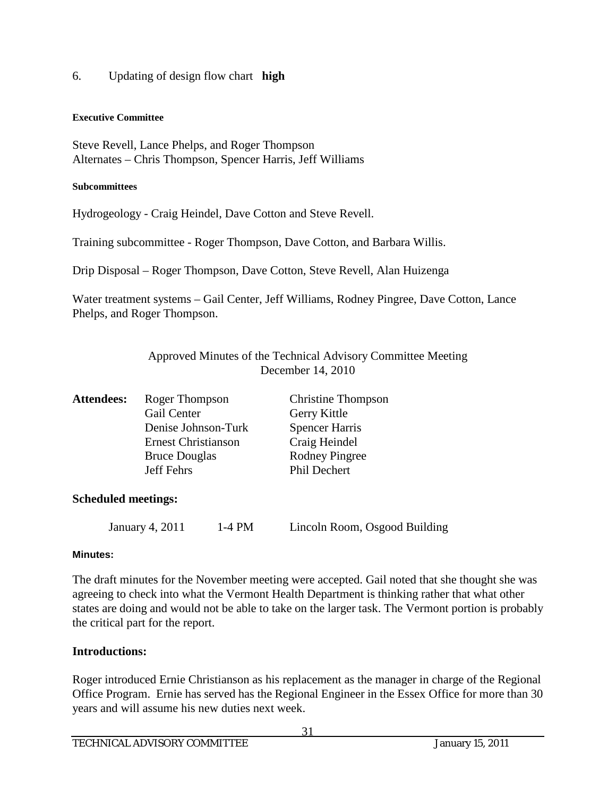6. Updating of design flow chart **high**

#### **Executive Committee**

Steve Revell, Lance Phelps, and Roger Thompson Alternates – Chris Thompson, Spencer Harris, Jeff Williams

#### **Subcommittees**

Hydrogeology - Craig Heindel, Dave Cotton and Steve Revell.

Training subcommittee - Roger Thompson, Dave Cotton, and Barbara Willis.

Drip Disposal – Roger Thompson, Dave Cotton, Steve Revell, Alan Huizenga

Water treatment systems – Gail Center, Jeff Williams, Rodney Pingree, Dave Cotton, Lance Phelps, and Roger Thompson.

> Approved Minutes of the Technical Advisory Committee Meeting December 14, 2010

| <b>Attendees:</b> | Roger Thompson             | <b>Christine Thompson</b> |
|-------------------|----------------------------|---------------------------|
|                   | Gail Center                | Gerry Kittle              |
|                   | Denise Johnson-Turk        | <b>Spencer Harris</b>     |
|                   | <b>Ernest Christianson</b> | Craig Heindel             |
|                   | <b>Bruce Douglas</b>       | <b>Rodney Pingree</b>     |
|                   | Jeff Fehrs                 | Phil Dechert              |
|                   |                            |                           |
| 0.1.111.11        |                            |                           |

#### **Scheduled meetings:**

January 4, 2011 1-4 PM Lincoln Room, Osgood Building

#### **Minutes:**

The draft minutes for the November meeting were accepted. Gail noted that she thought she was agreeing to check into what the Vermont Health Department is thinking rather that what other states are doing and would not be able to take on the larger task. The Vermont portion is probably the critical part for the report.

#### **Introductions:**

Roger introduced Ernie Christianson as his replacement as the manager in charge of the Regional Office Program. Ernie has served has the Regional Engineer in the Essex Office for more than 30 years and will assume his new duties next week.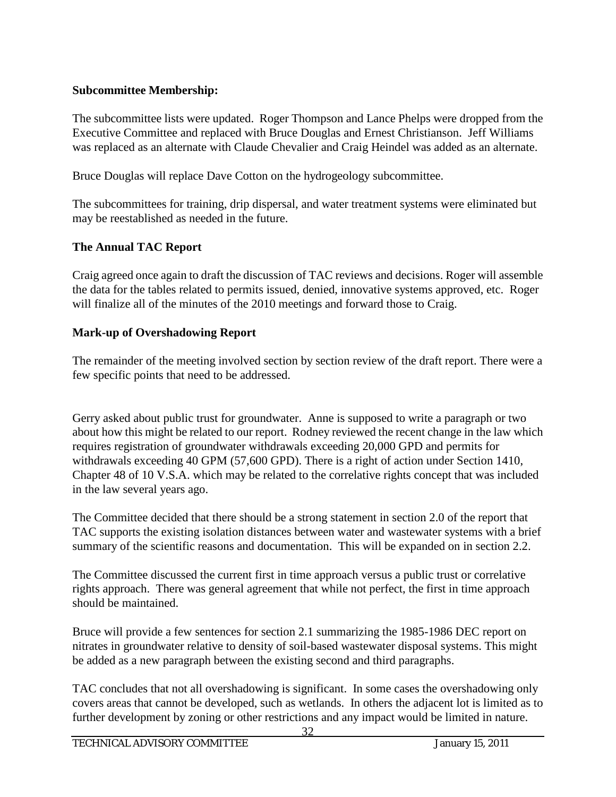## **Subcommittee Membership:**

The subcommittee lists were updated. Roger Thompson and Lance Phelps were dropped from the Executive Committee and replaced with Bruce Douglas and Ernest Christianson. Jeff Williams was replaced as an alternate with Claude Chevalier and Craig Heindel was added as an alternate.

Bruce Douglas will replace Dave Cotton on the hydrogeology subcommittee.

The subcommittees for training, drip dispersal, and water treatment systems were eliminated but may be reestablished as needed in the future.

# **The Annual TAC Report**

Craig agreed once again to draft the discussion of TAC reviews and decisions. Roger will assemble the data for the tables related to permits issued, denied, innovative systems approved, etc. Roger will finalize all of the minutes of the 2010 meetings and forward those to Craig.

# **Mark-up of Overshadowing Report**

The remainder of the meeting involved section by section review of the draft report. There were a few specific points that need to be addressed.

Gerry asked about public trust for groundwater. Anne is supposed to write a paragraph or two about how this might be related to our report. Rodney reviewed the recent change in the law which requires registration of groundwater withdrawals exceeding 20,000 GPD and permits for withdrawals exceeding 40 GPM (57,600 GPD). There is a right of action under Section 1410, Chapter 48 of 10 V.S.A. which may be related to the correlative rights concept that was included in the law several years ago.

The Committee decided that there should be a strong statement in section 2.0 of the report that TAC supports the existing isolation distances between water and wastewater systems with a brief summary of the scientific reasons and documentation. This will be expanded on in section 2.2.

The Committee discussed the current first in time approach versus a public trust or correlative rights approach. There was general agreement that while not perfect, the first in time approach should be maintained.

Bruce will provide a few sentences for section 2.1 summarizing the 1985-1986 DEC report on nitrates in groundwater relative to density of soil-based wastewater disposal systems. This might be added as a new paragraph between the existing second and third paragraphs.

TAC concludes that not all overshadowing is significant. In some cases the overshadowing only covers areas that cannot be developed, such as wetlands. In others the adjacent lot is limited as to further development by zoning or other restrictions and any impact would be limited in nature.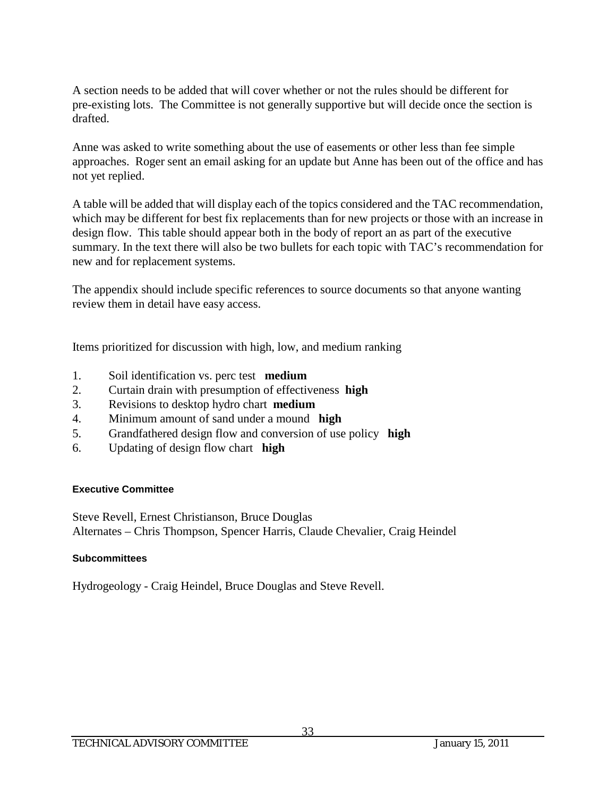A section needs to be added that will cover whether or not the rules should be different for pre-existing lots. The Committee is not generally supportive but will decide once the section is drafted.

Anne was asked to write something about the use of easements or other less than fee simple approaches. Roger sent an email asking for an update but Anne has been out of the office and has not yet replied.

A table will be added that will display each of the topics considered and the TAC recommendation, which may be different for best fix replacements than for new projects or those with an increase in design flow. This table should appear both in the body of report an as part of the executive summary. In the text there will also be two bullets for each topic with TAC's recommendation for new and for replacement systems.

The appendix should include specific references to source documents so that anyone wanting review them in detail have easy access.

Items prioritized for discussion with high, low, and medium ranking

- 1. Soil identification vs. perc test **medium**
- 2. Curtain drain with presumption of effectiveness **high**
- 3. Revisions to desktop hydro chart **medium**
- 4. Minimum amount of sand under a mound **high**
- 5. Grandfathered design flow and conversion of use policy **high**
- 6. Updating of design flow chart **high**

#### **Executive Committee**

Steve Revell, Ernest Christianson, Bruce Douglas Alternates – Chris Thompson, Spencer Harris, Claude Chevalier, Craig Heindel

#### **Subcommittees**

Hydrogeology - Craig Heindel, Bruce Douglas and Steve Revell.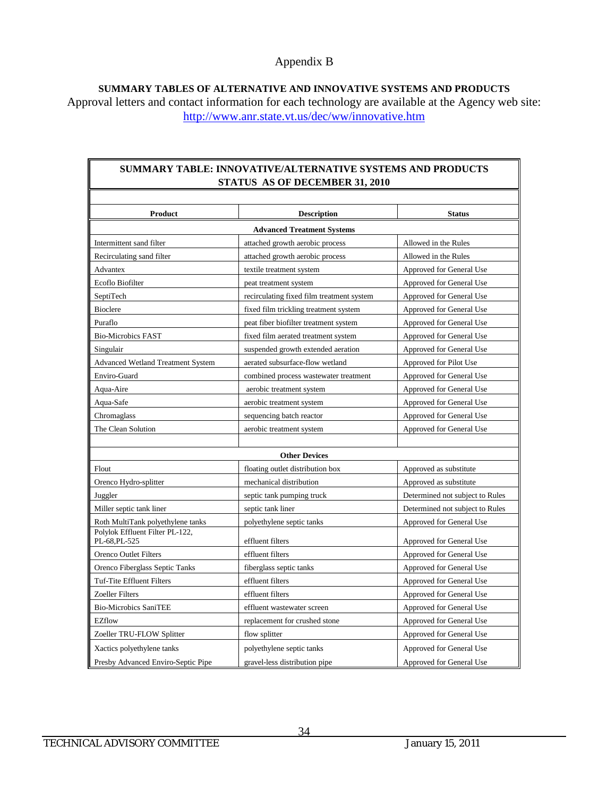**SUMMARY TABLES OF ALTERNATIVE AND INNOVATIVE SYSTEMS AND PRODUCTS** Approval letters and contact information for each technology are available at the Agency web site: <http://www.anr.state.vt.us/dec/ww/innovative.htm>

#### **SUMMARY TABLE: INNOVATIVE/ALTERNATIVE SYSTEMS AND PRODUCTS STATUS AS OF DECEMBER 31, 2010**

| Product                                          | <b>Description</b>                          | <b>Status</b>                                        |  |  |
|--------------------------------------------------|---------------------------------------------|------------------------------------------------------|--|--|
| <b>Advanced Treatment Systems</b>                |                                             |                                                      |  |  |
| Intermittent sand filter                         | attached growth aerobic process             | Allowed in the Rules                                 |  |  |
| Recirculating sand filter                        | attached growth aerobic process             | Allowed in the Rules                                 |  |  |
| Advantex                                         | textile treatment system                    | Approved for General Use                             |  |  |
| Ecoflo Biofilter                                 | peat treatment system                       | Approved for General Use                             |  |  |
| SeptiTech                                        | recirculating fixed film treatment system   | Approved for General Use                             |  |  |
| <b>Bioclere</b>                                  | fixed film trickling treatment system       | Approved for General Use                             |  |  |
| Puraflo                                          | peat fiber biofilter treatment system       | Approved for General Use                             |  |  |
| <b>Bio-Microbics FAST</b>                        | fixed film aerated treatment system         | Approved for General Use                             |  |  |
| Singulair                                        | suspended growth extended aeration          | Approved for General Use                             |  |  |
| <b>Advanced Wetland Treatment System</b>         | aerated subsurface-flow wetland             | Approved for Pilot Use                               |  |  |
| Enviro-Guard                                     | combined process wastewater treatment       | Approved for General Use                             |  |  |
| Aqua-Aire                                        | aerobic treatment system                    | Approved for General Use                             |  |  |
| Aqua-Safe                                        | aerobic treatment system                    | Approved for General Use                             |  |  |
| Chromaglass                                      | sequencing batch reactor                    | Approved for General Use                             |  |  |
| The Clean Solution                               | aerobic treatment system                    | Approved for General Use                             |  |  |
|                                                  |                                             |                                                      |  |  |
|                                                  | <b>Other Devices</b>                        |                                                      |  |  |
| Flout                                            | floating outlet distribution box            | Approved as substitute                               |  |  |
| Orenco Hydro-splitter                            | mechanical distribution                     | Approved as substitute                               |  |  |
| Juggler                                          | septic tank pumping truck                   | Determined not subject to Rules                      |  |  |
| Miller septic tank liner                         | septic tank liner                           | Determined not subject to Rules                      |  |  |
| Roth MultiTank polyethylene tanks                | polyethylene septic tanks                   | Approved for General Use                             |  |  |
| Polylok Effluent Filter PL-122,<br>PL-68, PL-525 | effluent filters                            |                                                      |  |  |
| Orenco Outlet Filters                            | effluent filters                            | Approved for General Use<br>Approved for General Use |  |  |
|                                                  |                                             |                                                      |  |  |
| Orenco Fiberglass Septic Tanks                   | fiberglass septic tanks<br>effluent filters | Approved for General Use                             |  |  |
| Tuf-Tite Effluent Filters                        |                                             | Approved for General Use                             |  |  |
| <b>Zoeller Filters</b>                           | effluent filters                            | Approved for General Use                             |  |  |
| <b>Bio-Microbics SaniTEE</b>                     | effluent wastewater screen                  | Approved for General Use                             |  |  |
| <b>EZflow</b>                                    | replacement for crushed stone               | Approved for General Use                             |  |  |
| Zoeller TRU-FLOW Splitter                        | flow splitter                               | Approved for General Use                             |  |  |
| Xactics polyethylene tanks                       | polyethylene septic tanks                   | Approved for General Use                             |  |  |
| Presby Advanced Enviro-Septic Pipe               | gravel-less distribution pipe               | <b>Approved for General Use</b>                      |  |  |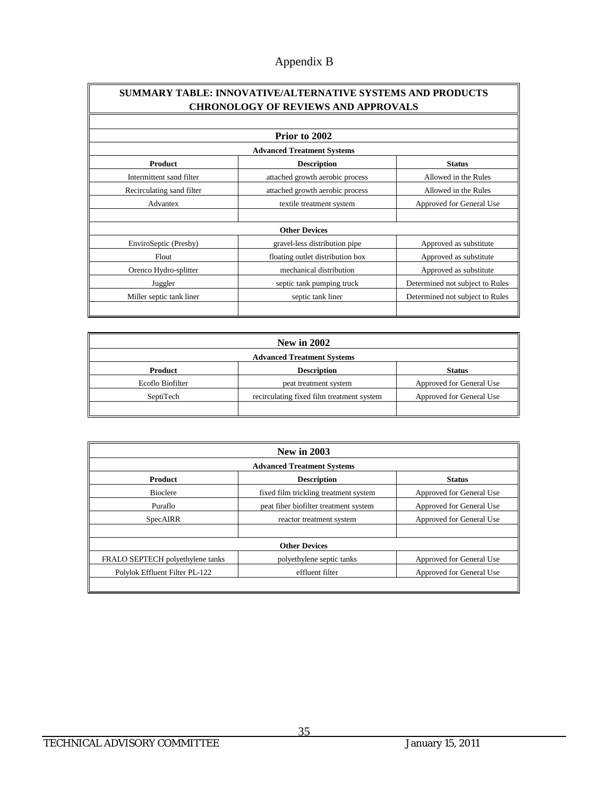#### **SUMMARY TABLE: INNOVATIVE/ALTERNATIVE SYSTEMS AND PRODUCTS CHRONOLOGY OF REVIEWS AND APPROVALS**

| Prior to 2002                     |                                  |                                 |  |
|-----------------------------------|----------------------------------|---------------------------------|--|
| <b>Advanced Treatment Systems</b> |                                  |                                 |  |
| <b>Product</b>                    | <b>Description</b>               | <b>Status</b>                   |  |
| Intermittent sand filter          | attached growth aerobic process  | Allowed in the Rules            |  |
| Recirculating sand filter         | attached growth aerobic process  | Allowed in the Rules            |  |
| Advantex                          | textile treatment system         | Approved for General Use        |  |
|                                   |                                  |                                 |  |
|                                   | <b>Other Devices</b>             |                                 |  |
| EnviroSeptic (Presby)             | gravel-less distribution pipe    | Approved as substitute          |  |
| <b>Flout</b>                      | floating outlet distribution box | Approved as substitute          |  |
| Orenco Hydro-splitter             | mechanical distribution          | Approved as substitute          |  |
| Juggler                           | septic tank pumping truck        | Determined not subject to Rules |  |
| Miller septic tank liner          | septic tank liner                | Determined not subject to Rules |  |
|                                   |                                  |                                 |  |

| <b>New in 2002</b>                |                                           |                          |
|-----------------------------------|-------------------------------------------|--------------------------|
| <b>Advanced Treatment Systems</b> |                                           |                          |
| Product                           | <b>Description</b>                        | <b>Status</b>            |
| Ecoflo Biofilter                  | peat treatment system                     | Approved for General Use |
| SeptiTech                         | recirculating fixed film treatment system | Approved for General Use |
|                                   |                                           |                          |

| <b>New in 2003</b>                |                                       |                          |  |
|-----------------------------------|---------------------------------------|--------------------------|--|
| <b>Advanced Treatment Systems</b> |                                       |                          |  |
| <b>Product</b>                    | <b>Description</b>                    | <b>Status</b>            |  |
| <b>Bioclere</b>                   | fixed film trickling treatment system | Approved for General Use |  |
| Puraflo                           | peat fiber biofilter treatment system | Approved for General Use |  |
| <b>SpecAIRR</b>                   | reactor treatment system              | Approved for General Use |  |
| <b>Other Devices</b>              |                                       |                          |  |
| FRALO SEPTECH polyethylene tanks  | polyethylene septic tanks             | Approved for General Use |  |
| Polylok Effluent Filter PL-122    | effluent filter                       | Approved for General Use |  |
|                                   |                                       |                          |  |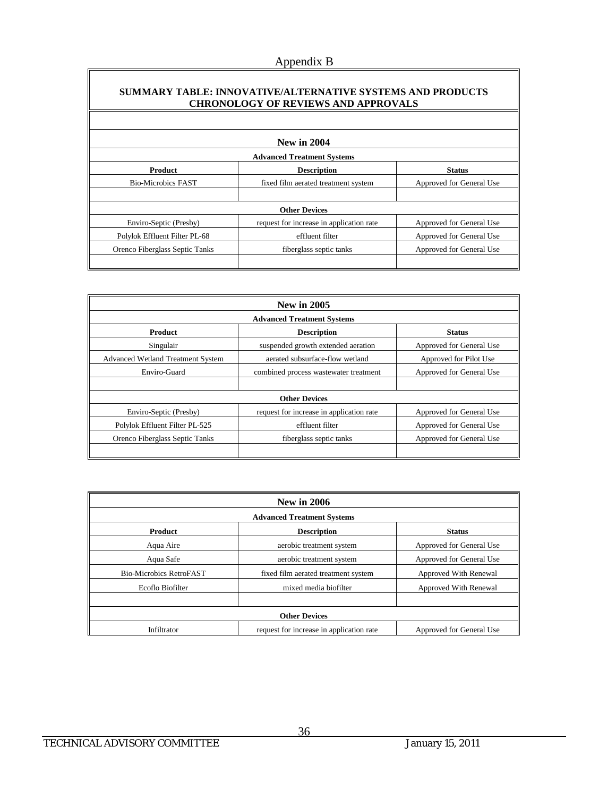#### **SUMMARY TABLE: INNOVATIVE/ALTERNATIVE SYSTEMS AND PRODUCTS CHRONOLOGY OF REVIEWS AND APPROVALS**

| <b>New in 2004</b>                |                                          |                          |  |
|-----------------------------------|------------------------------------------|--------------------------|--|
| <b>Advanced Treatment Systems</b> |                                          |                          |  |
| <b>Product</b>                    | <b>Description</b>                       | <b>Status</b>            |  |
| <b>Bio-Microbics FAST</b>         | fixed film aerated treatment system      | Approved for General Use |  |
|                                   |                                          |                          |  |
| <b>Other Devices</b>              |                                          |                          |  |
| Enviro-Septic (Presby)            | request for increase in application rate | Approved for General Use |  |
| Polylok Effluent Filter PL-68     | effluent filter                          | Approved for General Use |  |
| Orenco Fiberglass Septic Tanks    | fiberglass septic tanks                  | Approved for General Use |  |
|                                   |                                          |                          |  |

| <b>New in 2005</b>                       |                                          |                          |  |
|------------------------------------------|------------------------------------------|--------------------------|--|
| <b>Advanced Treatment Systems</b>        |                                          |                          |  |
| Product                                  | <b>Description</b>                       | <b>Status</b>            |  |
| Singulair                                | suspended growth extended aeration       | Approved for General Use |  |
| <b>Advanced Wetland Treatment System</b> | aerated subsurface-flow wetland          | Approved for Pilot Use   |  |
| Enviro-Guard                             | combined process was tewater treatment   | Approved for General Use |  |
|                                          |                                          |                          |  |
| <b>Other Devices</b>                     |                                          |                          |  |
| Enviro-Septic (Presby)                   | request for increase in application rate | Approved for General Use |  |
| Polylok Effluent Filter PL-525           | effluent filter                          | Approved for General Use |  |
| Orenco Fiberglass Septic Tanks           | fiberglass septic tanks                  | Approved for General Use |  |
|                                          |                                          |                          |  |

| <b>New in 2006</b>                |                                          |                          |  |  |  |  |  |  |
|-----------------------------------|------------------------------------------|--------------------------|--|--|--|--|--|--|
| <b>Advanced Treatment Systems</b> |                                          |                          |  |  |  |  |  |  |
| <b>Product</b>                    | <b>Description</b>                       | <b>Status</b>            |  |  |  |  |  |  |
| Aqua Aire                         | aerobic treatment system                 | Approved for General Use |  |  |  |  |  |  |
| Aqua Safe                         | aerobic treatment system                 | Approved for General Use |  |  |  |  |  |  |
| <b>Bio-Microbics RetroFAST</b>    | fixed film aerated treatment system      | Approved With Renewal    |  |  |  |  |  |  |
| Ecoflo Biofilter                  | mixed media biofilter                    | Approved With Renewal    |  |  |  |  |  |  |
|                                   |                                          |                          |  |  |  |  |  |  |
|                                   | <b>Other Devices</b>                     |                          |  |  |  |  |  |  |
| Infiltrator                       | request for increase in application rate | Approved for General Use |  |  |  |  |  |  |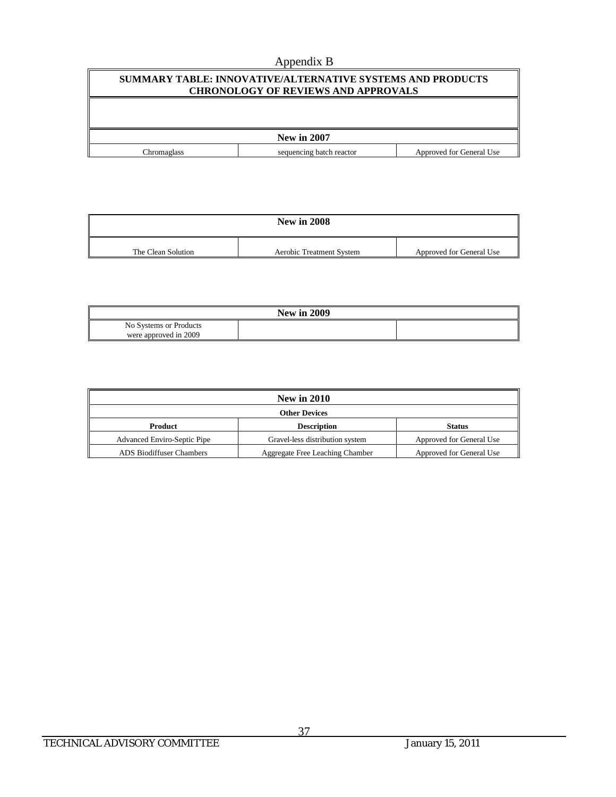| SUMMARY TABLE: INNOVATIVE/ALTERNATIVE SYSTEMS AND PRODUCTS<br><b>CHRONOLOGY OF REVIEWS AND APPROVALS</b> |                          |                          |  |  |  |  |  |
|----------------------------------------------------------------------------------------------------------|--------------------------|--------------------------|--|--|--|--|--|
|                                                                                                          |                          |                          |  |  |  |  |  |
| <b>New in 2007</b>                                                                                       |                          |                          |  |  |  |  |  |
| Chromaglass                                                                                              | sequencing batch reactor | Approved for General Use |  |  |  |  |  |

| <b>New in 2008</b> |                          |                          |  |  |  |  |
|--------------------|--------------------------|--------------------------|--|--|--|--|
| The Clean Solution | Aerobic Treatment System | Approved for General Use |  |  |  |  |

|                        | <b>New in 2009</b> |  |
|------------------------|--------------------|--|
| No Systems or Products |                    |  |
| were approved in 2009  |                    |  |

| <b>New in 2010</b>                 |                                 |                          |  |  |  |  |
|------------------------------------|---------------------------------|--------------------------|--|--|--|--|
| <b>Other Devices</b>               |                                 |                          |  |  |  |  |
| Product                            | <b>Description</b>              | <b>Status</b>            |  |  |  |  |
| <b>Advanced Enviro-Septic Pipe</b> | Gravel-less distribution system | Approved for General Use |  |  |  |  |
| <b>ADS</b> Biodiffuser Chambers    | Aggregate Free Leaching Chamber | Approved for General Use |  |  |  |  |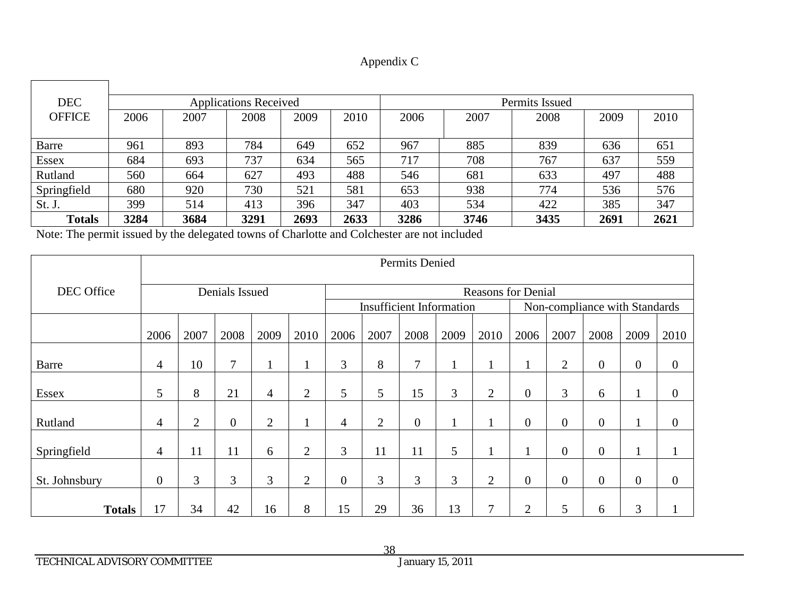| <b>DEC</b>    |      |      | <b>Applications Received</b> |      |      | Permits Issued |      |      |      |      |
|---------------|------|------|------------------------------|------|------|----------------|------|------|------|------|
| <b>OFFICE</b> | 2006 | 2007 | 2008                         | 2009 | 2010 | 2006           | 2007 | 2008 | 2009 | 2010 |
|               |      |      |                              |      |      |                |      |      |      |      |
| Barre         | 961  | 893  | 784                          | 649  | 652  | 967            | 885  | 839  | 636  | 651  |
| <b>Essex</b>  | 684  | 693  | 737                          | 634  | 565  | 717            | 708  | 767  | 637  | 559  |
| Rutland       | 560  | 664  | 627                          | 493  | 488  | 546            | 681  | 633  | 497  | 488  |
| Springfield   | 680  | 920  | 730                          | 521  | 581  | 653            | 938  | 774  | 536  | 576  |
| St. J.        | 399  | 514  | 413                          | 396  | 347  | 403            | 534  | 422  | 385  | 347  |
| <b>Totals</b> | 3284 | 3684 | 3291                         | 2693 | 2633 | 3286           | 3746 | 3435 | 2691 | 2621 |

Note: The permit issued by the delegated towns of Charlotte and Colchester are not included

|               | Permits Denied   |                |                |                |                |                |                                 |                |      |                           |                |                               |                  |                  |                  |
|---------------|------------------|----------------|----------------|----------------|----------------|----------------|---------------------------------|----------------|------|---------------------------|----------------|-------------------------------|------------------|------------------|------------------|
| DEC Office    |                  |                | Denials Issued |                |                |                |                                 |                |      | <b>Reasons for Denial</b> |                |                               |                  |                  |                  |
|               |                  |                |                |                |                |                | <b>Insufficient Information</b> |                |      |                           |                | Non-compliance with Standards |                  |                  |                  |
|               | 2006             | 2007           | 2008           | 2009           | 2010           | 2006           | 2007                            | 2008           | 2009 | 2010                      | 2006           | 2007                          | 2008             | 2009             | 2010             |
| <b>Barre</b>  | 4                | 10             | $\tau$         |                |                | $\mathfrak{Z}$ | 8                               | 7              |      |                           |                | $\overline{2}$                | $\boldsymbol{0}$ | $\boldsymbol{0}$ | $\boldsymbol{0}$ |
| <b>Essex</b>  | 5                | 8              | 21             | $\overline{4}$ | $\overline{2}$ | 5              | 5                               | 15             | 3    | $\overline{2}$            | $\overline{0}$ | 3                             | 6                | $\mathbf{1}$     | $\boldsymbol{0}$ |
| Rutland       | $\overline{4}$   | $\overline{2}$ | $\overline{0}$ | $\overline{2}$ |                | $\overline{4}$ | $\overline{2}$                  | $\overline{0}$ |      | 1                         | $\overline{0}$ | $\overline{0}$                | $\boldsymbol{0}$ | $\mathbf{1}$     | $\boldsymbol{0}$ |
| Springfield   | 4                | 11             | 11             | 6              | 2              | 3              | 11                              | 11             | 5    | 1                         |                | $\overline{0}$                | $\boldsymbol{0}$ | $\mathbf{1}$     | л                |
| St. Johnsbury | $\boldsymbol{0}$ | 3              | 3              | 3              | $\overline{2}$ | $\mathbf{0}$   | 3                               | 3              | 3    | $\overline{2}$            | $\overline{0}$ | $\boldsymbol{0}$              | $\boldsymbol{0}$ | $\overline{0}$   | $\boldsymbol{0}$ |
| <b>Totals</b> | 17               | 34             | 42             | 16             | 8              | 15             | 29                              | 36             | 13   | 7                         | $\mathbf{2}$   | 5                             | 6                | 3                |                  |

TECHNICAL ADVISORY COMMITTEE

 $\Gamma$ 

┑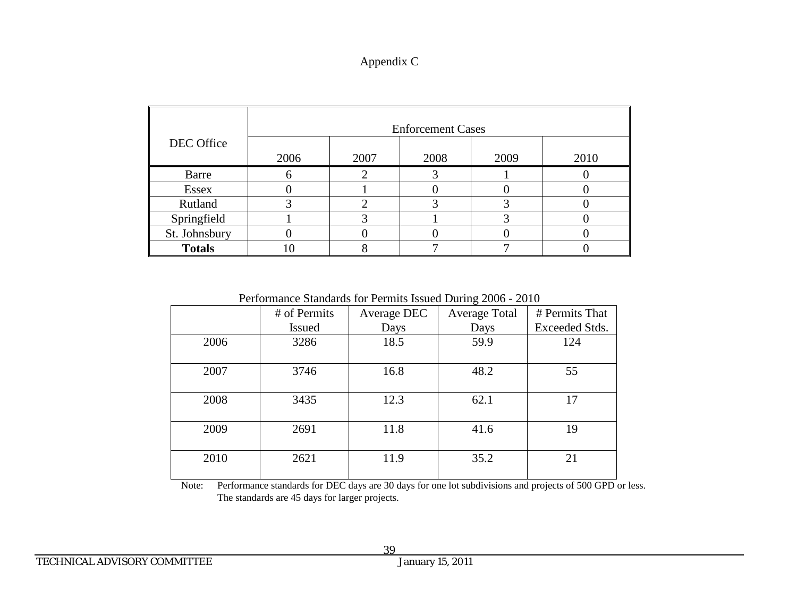| Appendix C |  |
|------------|--|
|------------|--|

|               |      |      | <b>Enforcement Cases</b> |      |      |
|---------------|------|------|--------------------------|------|------|
| DEC Office    | 2006 | 2007 | 2008                     | 2009 | 2010 |
| Barre         |      |      |                          |      |      |
| <b>Essex</b>  |      |      |                          |      |      |
| Rutland       |      |      |                          |      |      |
| Springfield   |      |      |                          |      |      |
| St. Johnsbury |      |      |                          |      |      |
| <b>Totals</b> |      |      |                          |      |      |

Performance Standards for Permits Issued During 2006 - 2010

|      | # of Permits  | Average DEC | <b>Average Total</b> | # Permits That |
|------|---------------|-------------|----------------------|----------------|
|      | <b>Issued</b> | Days        | Days                 | Exceeded Stds. |
| 2006 | 3286          | 18.5        | 59.9                 | 124            |
|      |               |             |                      |                |
| 2007 | 3746          | 16.8        | 48.2                 | 55             |
|      |               |             |                      |                |
| 2008 | 3435          | 12.3        | 62.1                 | 17             |
|      |               |             |                      |                |
| 2009 | 2691          | 11.8        | 41.6                 | 19             |
|      |               |             |                      |                |
| 2010 | 2621          | 11.9        | 35.2                 | 21             |
|      |               |             |                      |                |

Note: Performance standards for DEC days are 30 days for one lot subdivisions and projects of 500 GPD or less. The standards are 45 days for larger projects.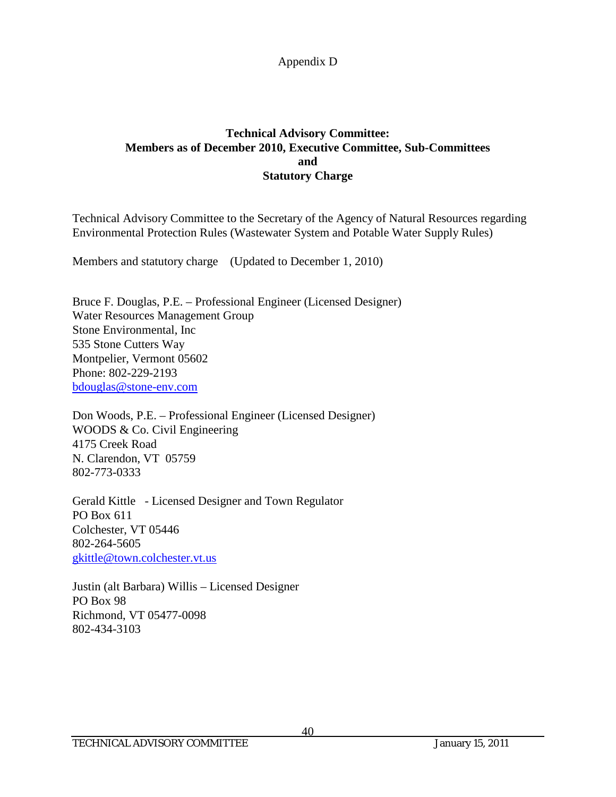## **Technical Advisory Committee: Members as of December 2010, Executive Committee, Sub-Committees and Statutory Charge**

Technical Advisory Committee to the Secretary of the Agency of Natural Resources regarding Environmental Protection Rules (Wastewater System and Potable Water Supply Rules)

Members and statutory charge (Updated to December 1, 2010)

Bruce F. Douglas, P.E. – Professional Engineer (Licensed Designer) Water Resources Management Group Stone Environmental, Inc 535 Stone Cutters Way Montpelier, Vermont 05602 Phone: 802-229-2193 [bdouglas@stone-env.com](mailto:bdouglas@stone-env.com)

Don Woods, P.E. – Professional Engineer (Licensed Designer) WOODS & Co. Civil Engineering 4175 Creek Road N. Clarendon, VT 05759 802-773-0333

Gerald Kittle - Licensed Designer and Town Regulator PO Box 611 Colchester, VT 05446 802-264-5605 [gkittle@town.colchester.vt.us](mailto:gkittle@town.colchester.vt.us)

Justin (alt Barbara) Willis – Licensed Designer PO Box 98 Richmond, VT 05477-0098 802-434-3103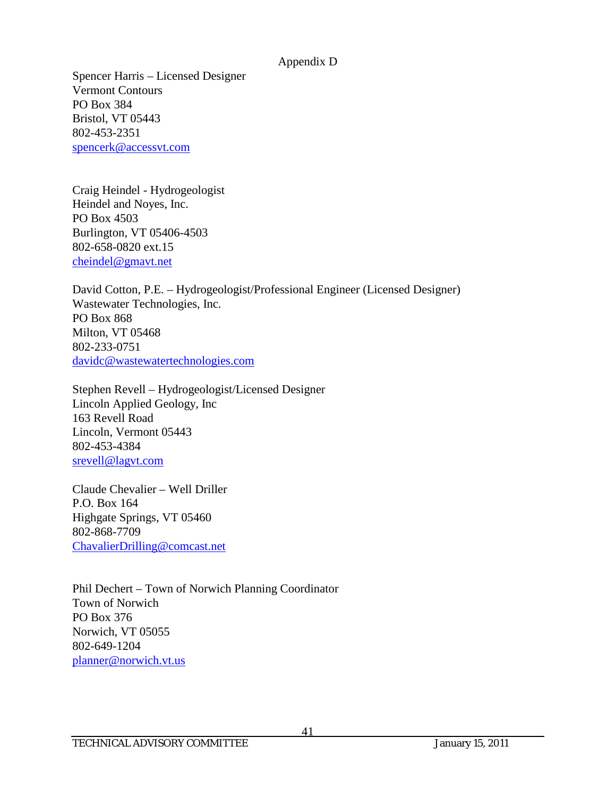Spencer Harris – Licensed Designer Vermont Contours PO Box 384 Bristol, VT 05443 802-453-2351 [spencerk@accessvt.com](mailto:spencerj@accessvt.com)

Craig Heindel - Hydrogeologist Heindel and Noyes, Inc. PO Box 4503 Burlington, VT 05406-4503 802-658-0820 ext.15 [cheindel@gmavt.net](mailto:cheindel@gmavt.net)

David Cotton, P.E. – Hydrogeologist/Professional Engineer (Licensed Designer) Wastewater Technologies, Inc. PO Box 868 Milton, VT 05468 802-233-0751 [davidc@wastewatertechnologies.com](mailto:davidc@wastewatertechnologies.com)

Stephen Revell – Hydrogeologist/Licensed Designer Lincoln Applied Geology, Inc 163 Revell Road Lincoln, Vermont 05443 802-453-4384 [srevell@lagvt.com](mailto:srevell@lagvt.com)

Claude Chevalier – Well Driller P.O. Box 164 Highgate Springs, VT 05460 802-868-7709 [ChavalierDrilling@comcast.net](mailto:ChavalierDrilling@comcast.net)

Phil Dechert – Town of Norwich Planning Coordinator Town of Norwich PO Box 376 Norwich, VT 05055 802-649-1204 [planner@norwich.vt.us](mailto:planner@norwich.vt.us)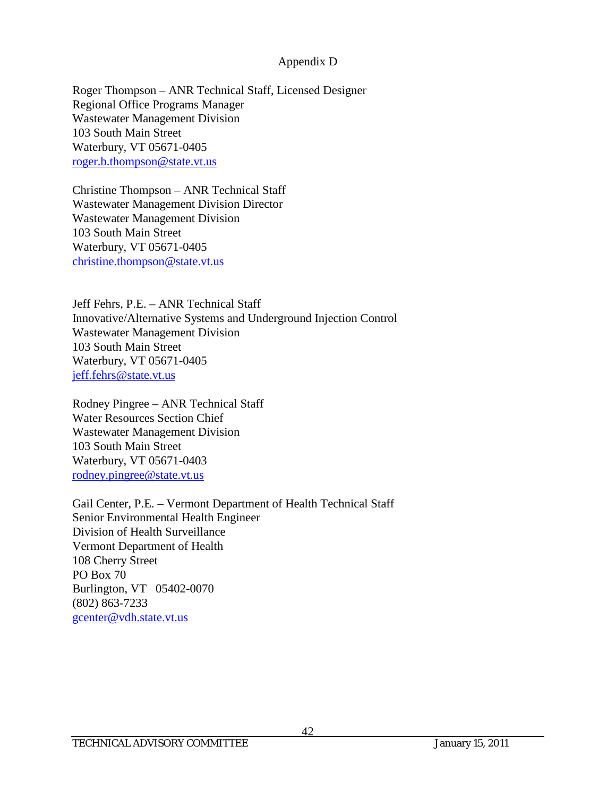Roger Thompson – ANR Technical Staff, Licensed Designer Regional Office Programs Manager Wastewater Management Division 103 South Main Street Waterbury, VT 05671-0405 [roger.b.thompson@state.vt.us](mailto:roger.b.thompson@state.vt.us)

Christine Thompson – ANR Technical Staff Wastewater Management Division Director Wastewater Management Division 103 South Main Street Waterbury, VT 05671-0405 [christine.thompson@state.vt.us](mailto:christine.thompson@state.vt.us)

Jeff Fehrs, P.E. – ANR Technical Staff Innovative/Alternative Systems and Underground Injection Control Wastewater Management Division 103 South Main Street Waterbury, VT 05671-0405 [jeff.fehrs@state.vt.us](mailto:jeff.fehrs@state.vt.us)

Rodney Pingree – ANR Technical Staff Water Resources Section Chief Wastewater Management Division 103 South Main Street Waterbury, VT 05671-0403 [rodney.pingree@state.vt.us](mailto:rodney.pingree@state.vt.us)

Gail Center, P.E. – Vermont Department of Health Technical Staff Senior Environmental Health Engineer Division of Health Surveillance Vermont Department of Health 108 Cherry Street PO Box 70 Burlington, VT 05402-0070 (802) 863-7233 [gcenter@vdh.state.vt.us](mailto:gcenter@vdh.state.vt.us)